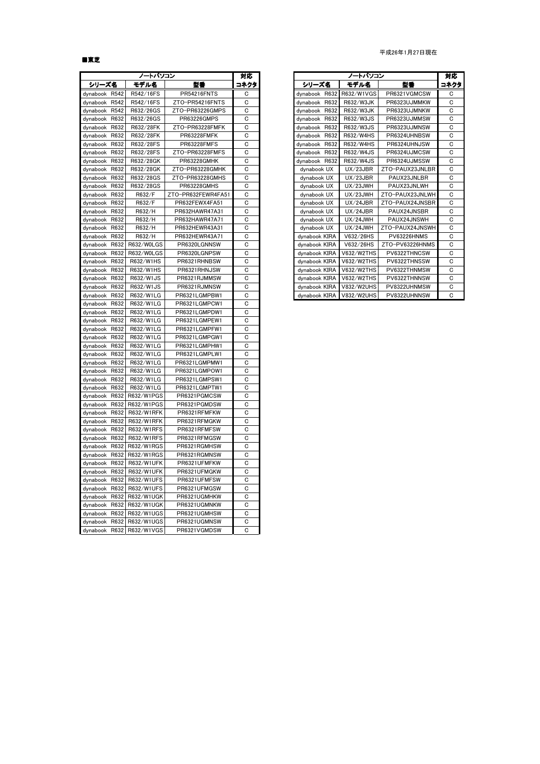## ■東芝

|                  | ノートパソコン           |                    | 対応   |                  | ノートパソコン    |                 | 対応   |
|------------------|-------------------|--------------------|------|------------------|------------|-----------------|------|
| シリーズ名            | モデル名              | 型番                 | コネクタ | シリーズ名            | モデル名       | 型番              | コネクタ |
| R542<br>dynabook | R542/16FS         | PR54216FNTS        | C    | dynabook<br>R632 | R632/W1VGS | PR6321VGMCSW    | С    |
| R542<br>dynabook | R542/16FS         | ZTO-PR54216FNTS    | C    | R632<br>dynabook | R632/W3JK  | PR6323UJMMKW    | C    |
| dynabook<br>R542 | R632/26GS         | ZTO-PR63226GMPS    | C    | dynabook<br>R632 | R632/W3JK  | PR6323UJMNKW    | C    |
| R632<br>dynabook | R632/26GS         | PR63226GMPS        | C    | dynabook<br>R632 | R632/W3JS  | PR6323UJMMSW    | С    |
| R632<br>dynabook | R632/28FK         | ZTO-PR63228FMFK    | C    | dynabook<br>R632 | R632/W3JS  | PR6323UJMNSW    | C    |
| dynabook R632    | R632/28FK         | PR63228FMFK        | C    | dynabook<br>R632 | R632/W4HS  | PR6324UHNBSW    | C    |
| dynabook R632    | R632/28FS         | PR63228FMFS        | C    | R632<br>dynabook | R632/W4HS  | PR6324UHNJSW    | С    |
| dynabook<br>R632 | R632/28FS         | ZTO-PR63228FMFS    | C    | dynabook<br>R632 | R632/W4JS  | PR6324UJMCSW    | C    |
| dynabook R632    | R632/28GK         | PR63228GMHK        | C    | R632<br>dynabook | R632/W4JS  | PR6324UJMSSW    | C    |
| dynabook R632    | R632/28GK         | ZTO-PR63228GMHK    | С    | dynabook UX      | UX/23JBR   | ZTO-PAUX23JNLBR | C    |
| dynabook R632    | R632/28GS         | ZTO-PR63228GMHS    | C    | dynabook UX      | UX/23JBR   | PAUX23JNLBR     | C    |
| dynabook R632    | R632/28GS         | PR63228GMHS        | C    | dynabook UX      | UX/23JWH   | PAUX23JNLWH     | C    |
| dynabook R632    | R632/F            | ZTO-PR632FEWR4FA51 | C    | dynabook UX      | UX/23JWH   | ZTO-PAUX23JNLWH | C    |
| dynabook R632    | R632/F            | PR632FEWX4FA51     | C    | dynabook UX      | UX/24JBR   | ZTO-PAUX24JNSBR | C    |
| dynabook<br>R632 | R632/H            | PR632HAWR47A31     | C    | dynabook UX      | UX/24JBR   | PAUX24JNSBR     | C    |
| dynabook<br>R632 | R632/H            | PR632HAWR47A71     | C    | dynabook UX      | UX/24JWH   | PAUX24JNSWH     | C    |
| R632<br>dynabook | R632/H            | PR632HEWR43A31     | C    | dynabook UX      | UX/24JWH   | ZTO-PAUX24JNSWH | C    |
| dynabook<br>R632 | R632/H            | PR632HEWR43A71     | C    | dynabook KIRA    | V632/26HS  | PV63226HNMS     | C    |
| R632<br>dynabook | R632/W0LGS        | PR6320LGNNSW       | C    | dynabook KIRA    | V632/26HS  | ZTO-PV63226HNMS | C    |
| dynabook<br>R632 | R632/W0LGS        | PR6320LGNPSW       | C    | dynabook KIRA    | V632/W2THS | PV6322THNCSW    | С    |
| dynabook<br>R632 | R632/W1HS         | PR6321RHNBSW       | C    | dynabook KIRA    | V632/W2THS | PV6322THNSSW    | С    |
| R632<br>dynabook | R632/W1HS         | PR6321RHNJSW       | C    | dynabook KIRA    | V632/W2THS | PV6322THNMSW    | C    |
| dynabook R632    | R632/W1JS         | PR6321RJMMSW       | C    | dynabook KIRA    | V632/W2THS | PV6322THNNSW    | C    |
| dynabook R632    | R632/W1JS         | PR6321RJMNSW       | C    | dynabook KIRA    | V832/W2UHS | PV8322UHNMSW    | С    |
| dynabook R632    | R632/W1LG         | PR6321LGMPBW1      | C    | dynabook KIRA    | V832/W2UHS | PV8322UHNNSW    | C    |
| R632<br>dynabook | R632/W1LG         | PR6321LGMPCW1      | C    |                  |            |                 |      |
| dynabook R632    | R632/W1LG         | PR6321LGMPDW1      | C    |                  |            |                 |      |
| dynabook R632    | R632/W1LG         | PR6321LGMPEW1      | C    |                  |            |                 |      |
| dynabook<br>R632 | R632/W1LG         | PR6321LGMPFW1      | C    |                  |            |                 |      |
| dynabook R632    | R632/W1LG         | PR6321LGMPGW1      | C    |                  |            |                 |      |
| dynabook<br>R632 | R632/W1LG         | PR6321LGMPHW1      | C    |                  |            |                 |      |
| dynabook R632    | R632/W1LG         | PR6321LGMPLW1      | C    |                  |            |                 |      |
| dynabook<br>R632 | R632/W1LG         | PR6321LGMPMW1      | C    |                  |            |                 |      |
| dynabook<br>R632 | R632/W1LG         | PR6321LGMPOW1      | C    |                  |            |                 |      |
| dynabook<br>R632 | R632/W1LG         | PR6321LGMPSW1      | C    |                  |            |                 |      |
| dynabook<br>R632 | R632/W1LG         | PR6321LGMPTW1      | C    |                  |            |                 |      |
| R632<br>dynabook | R632/W1PGS        | PR6321PGMCSW       | C    |                  |            |                 |      |
| dynabook<br>R632 | R632/W1PGS        | PR6321PGMDSW       | C    |                  |            |                 |      |
| dynabook<br>R632 | R632/W1RFK        | PR6321RFMFKW       | C    |                  |            |                 |      |
| R632<br>dynabook | R632/W1RFK        | PR6321RFMGKW       | C    |                  |            |                 |      |
| dynabook R632    | R632/W1RFS        | PR6321RFMFSW       | C    |                  |            |                 |      |
| R632<br>dynabook | R632/W1RFS        | PR6321RFMGSW       | C    |                  |            |                 |      |
| dynabook<br>R632 | R632/W1RGS        | PR6321RGMHSW       | C    |                  |            |                 |      |
| R632<br>dynabook | R632/W1RGS        | PR6321RGMNSW       | C    |                  |            |                 |      |
| dynabook<br>R632 | <b>R632/W1UFK</b> | PR6321UFMFKW       | C    |                  |            |                 |      |
| dynabook<br>R632 | R632/W1UFK        | PR6321UFMGKW       | C    |                  |            |                 |      |
| R632<br>dynabook | R632/W1UFS        | PR6321UFMFSW       | C    |                  |            |                 |      |
| R632<br>dynabook | R632/W1UFS        | PR6321UFMGSW       | C    |                  |            |                 |      |
| dynabook<br>R632 | R632/W1UGK        | PR6321UGMHKW       | C    |                  |            |                 |      |
| dynabook<br>R632 | R632/W1UGK        | PR6321UGMNKW       | C    |                  |            |                 |      |
| R632<br>dynabook | R632/W1UGS        | PR6321UGMHSW       | C    |                  |            |                 |      |
| dynabook<br>R632 | R632/W1UGS        | PR6321UGMNSW       | C    |                  |            |                 |      |
| dynabook R632    | R632/W1VGS        | PR6321VGMDSW       | С    |                  |            |                 |      |

| 対応  |               | ノートパソコン           |                 | 対応   |
|-----|---------------|-------------------|-----------------|------|
| ネクタ | シリーズ名         | モデル名              | 型番              | コネクタ |
| C   | dynabook R632 | R632/W1VGS        | PR6321VGMCSW    | C    |
| C   | dynabook R632 | R632/W3JK         | PR6323UJMMKW    | C    |
| C   | dynabook R632 | R632/W3JK         | PR6323UJMNKW    | C    |
| C   | dynabook R632 | R632/W3JS         | PR6323UJMMSW    | C    |
| C   | dynabook R632 | R632/W3JS         | PR6323UJMNSW    | C    |
| C   | dynabook R632 | R632/W4HS         | PR6324UHNBSW    | C    |
| C   | dynabook R632 | R632/W4HS         | PR6324UHNJSW    | C    |
| C   | dynabook R632 | R632/W4JS         | PR6324UJMCSW    | C    |
| C   | dynabook R632 | R632/W4JS         | PR6324UJMSSW    | C    |
| C   | dynabook UX   | UX/23JBR          | ZTO-PAUX23JNLBR | C    |
| C   | dynabook UX   | UX/23JBR          | PAUX23JNLBR     | C    |
| C   | dynabook UX   | UX/23JWH          | PAUX23JNLWH     | C    |
| C   | dynabook UX   | UX/23JWH          | ZTO-PAUX23JNLWH | C    |
| C   | dynabook UX   | UX/24JBR          | ZTO-PAUX24JNSBR | C    |
| C   | dynabook UX   | UX/24JBR          | PAUX24JNSBR     | C    |
| C   | dynabook UX   | UX/24JWH          | PAUX24JNSWH     | C    |
| C   | dynabook UX   | UX/24JWH          | ZTO-PAUX24JNSWH | C    |
| C   | dvnabook KIRA | V632/26HS         | PV63226HNMS     | C    |
| C   | dynabook KIRA | V632/26HS         | ZTO-PV63226HNMS | C    |
| C   | dynabook KIRA | V632/W2THS        | PV6322THNCSW    | C    |
| C   | dvnabook KIRA | V632/W2THS        | PV6322THNSSW    | C    |
| C   | dvnabook KIRA | V632/W2THS        | PV6322THNMSW    | C    |
| C   | dvnabook KIRA | V632/W2THS        | PV6322THNNSW    | C    |
| С   | dvnabook KIRA | <b>V832/W2UHS</b> | PV8322UHNMSW    | C    |
| C   | dynabook KIRA | <b>V832/W2UHS</b> | PV8322UHNNSW    | C    |

#### 平成26年1月27日現在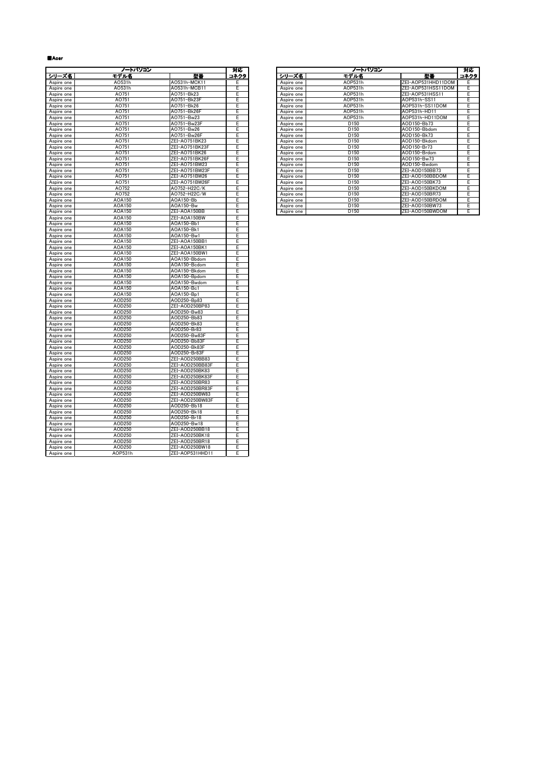#### ■Acer

|                          | ノートパソコン          |                              | 对応     |            | ノートパソコン          |                    | 対局  |
|--------------------------|------------------|------------------------------|--------|------------|------------------|--------------------|-----|
| シリーズ名                    | モデル名             | 陸華                           | コネクタ   | シリーズ名      | <u>モデル名</u>      | 型書                 | コネク |
| Aspire one               | A0531h           | A0531h-MCK11                 | Е      | Aspire one | A0P531h          | ZEI-AOP531HHD11DOM | Ε   |
| Aspire one               | A0531h           | AO531h-MCB11                 | Ε      | Aspire one | AOP531h          | ZEI-AOP531HSS11DOM | Ε   |
| Aspire one               | A0751            | AO751-Bk23                   | E      | Aspire one | AOP531h          | ZEI-AOP531HSS11    | Ε   |
| Aspire one               | A0751            | AO751-Bk23F                  | E      | Aspire one | AOP531h          | AOP531h-SS11       | E   |
| Aspire one               | A0751            | AO751-Bk26                   | E      | Aspire one | AOP531h          | AOP531h-SS11DOM    | E   |
| Aspire one               | A0751            | AO751-Bk26F                  | E      | Aspire one | AOP531h          | AOP531h-HD11       | Ε   |
| Aspire one               | A0751            | AO751-Bw23                   | E      | Aspire one | AOP531h          | AOP531h-HD11DOM    | Ε   |
| Aspire one               | A0751            | AO751-Bw23F                  | Ε      | Aspire one | D150             | AOD150-Bb73        | E   |
| Aspire one               | A0751            | A0751-Bw26                   | Ε      | Aspire one | D150             | AOD150-Bbdom       | Ε   |
| Aspire one               | A0751            | A0751-Bw26F                  | E      | Aspire one | D150             | AOD150-Bk73        | Ε   |
| Aspire one               | A0751            | ZEI-AO751BK23                | E      | Aspire one | D150             | AOD150-Bkdom       | Ε   |
| Aspire one               | A0751            | ZEI-AO751BK23F               | E      | Aspire one | D150             | AOD150-Br73        | E   |
| Aspire one               | A0751            | ZEI-AO751BK26                | E      | Aspire one | D150             | AOD150-Brdom       | Ε   |
| Aspire one               | A0751            | ZEI-AO751BK26F               | E      | Aspire one | D150             | AOD150-Bw73        | Ε   |
| Aspire one               | A0751            | ZEI-AO751BW23                | Ε      | Aspire one | D150             | AOD150-Bwdom       | Ε   |
| Aspire one               | A0751            | ZEI-AO751BW23F               | Ε      | Aspire one | D150             | ZEI-AOD150BB73     | E   |
| Aspire one               | A0751            | ZEI-AO751BW26                | Ε      | Aspire one | D150             | ZEI-AOD150BBDOM    | Ε   |
| Aspire one               | A0751            | ZEI-AO751BW26F               | Ē      | Aspire one | D150             | ZEI-AOD150BK73     | Ε   |
| Aspire one               | A0752            | AO752-H22C/K                 | E      | Aspire one | D150             | ZEI-AOD150BKDOM    | Ε   |
| Aspire one               | AO752            | A0752-H22C/W                 | Ε      | Aspire one | D <sub>150</sub> | ZEI-AOD150BR73     | Е   |
| Aspire one               | AOA150           | AOA150-Bb                    | E      | Aspire one | D150             | ZEI-AOD150BRDOM    | Ε   |
| Aspire one               | AOA150           | AOA150-Bw                    | E      | Aspire one | D150             | ZEI-AOD150BW73     | Ε   |
| Aspire one               | AOA150           | ZEI-AOA150BB                 | Έ      | Aspire one | D <sub>150</sub> | ZEI-AOD150BWDOM    | Έ   |
| Aspire one               | AOA150           | ZEI-AOA150BW                 | E      |            |                  |                    |     |
| Aspire one               | AOA150           | AOA150-Bb1                   | E      |            |                  |                    |     |
| Aspire one               | AOA150           | AOA150-Bk1                   | E      |            |                  |                    |     |
| Aspire one               | AOA150           | AOA150-Bw1                   | E      |            |                  |                    |     |
| Aspire one               | AOA150           | ZEI-AOA150BB1                | E      |            |                  |                    |     |
| Aspire one               | AOA150           | ZEI-AOA150BK1                | Ε      |            |                  |                    |     |
| Aspire one               | AOA150           | ZEI-AOA150BW1                | E      |            |                  |                    |     |
| Aspire one               | AOA150           | AOA150-Bbdom                 | E      |            |                  |                    |     |
| Aspire one               | AOA150<br>AOA150 | AOA150-Bcdom<br>AOA150-Bkdom | E      |            |                  |                    |     |
| Aspire one               | AOA150           | AOA150-Bpdom                 | E<br>E |            |                  |                    |     |
| Aspire one<br>Aspire one | AOA150           | AOA150-Bwdom                 | Ε      |            |                  |                    |     |
| Aspire one               | AOA150           | AOA150-Bc1                   | E      |            |                  |                    |     |
| Aspire one               | AOA150           | AOA150-Bp1                   | Ε      |            |                  |                    |     |
| Aspire one               | AOD250           | AOD250-Bp83                  | E      |            |                  |                    |     |
| Aspire one               | AOD250           | ZEI-AOD250BP83               | E      |            |                  |                    |     |
| Aspire one               | AOD250           | AOD250-Bw83                  | E      |            |                  |                    |     |
| Aspire one               | AOD250           | AOD250-Bb83                  | Ε      |            |                  |                    |     |
| Aspire one               | AOD250           | AOD250-Bk83                  | E      |            |                  |                    |     |
| Aspire one               | AOD250           | AOD250-Br83                  | Ε      |            |                  |                    |     |
| Aspire one               | AOD250           | AOD250-Bw83F                 | E      |            |                  |                    |     |
| Aspire one               | AOD250           | AOD250-Bb83F                 | E      |            |                  |                    |     |
| Aspire one               | AOD250           | AOD250-Bk83F                 | E      |            |                  |                    |     |
| Aspire one               | AOD250           | AOD250-Br83F                 | E      |            |                  |                    |     |
| Aspire one               | AOD250           | ZEI-AOD250BB83               | Ε      |            |                  |                    |     |
| Aspire one               | AOD250           | ZEI-AOD250BB83F              | Ε      |            |                  |                    |     |
| Aspire one               | AOD250           | ZEI-AOD250BK83               | Ε      |            |                  |                    |     |
| Aspire one               | AOD250           | ZEI-AOD250BK83F              | E      |            |                  |                    |     |
| Aspire one               | AOD250           | ZEI-AOD250BR83               | E      |            |                  |                    |     |
| Aspire one               | AOD250           | ZEI-AOD250BR83F              | Ε      |            |                  |                    |     |
| Aspire one               | AOD250           | ZEI-AOD250BW83               | Ε      |            |                  |                    |     |
| Aspire one               | AOD250           | ZEI-AOD250BW83F              | E      |            |                  |                    |     |
| Aspire one               | AOD250           | AOD250-Bb18                  | E      |            |                  |                    |     |
| Aspire one               | AOD250           | AOD250-Bk18                  | E      |            |                  |                    |     |
| Aspire one               | AOD250           | AOD250-Br18                  | E      |            |                  |                    |     |
| Aspire one               | AOD250           | AOD250-Bw18                  | Ē      |            |                  |                    |     |
| Aspire one               | AOD250           | ZEI-AOD250BB18               | E      |            |                  |                    |     |
| Aspire one               | AOD250           | ZEI-AOD250BK18               | E      |            |                  |                    |     |
| Aspire one               | AOD250           | ZEI-AOD250BR18               | E<br>E |            |                  |                    |     |
| Aspire one               | AOD250           | ZEI-AOD250BW18               |        |            |                  |                    |     |
| Aspire one               | AOP531h          | ZEI-AOP531HHD11              | E      |            |                  |                    |     |

|            | ノートパソコン |                | 対応   |            | ノートパソコン          |                    | 対応    |
|------------|---------|----------------|------|------------|------------------|--------------------|-------|
| シリーズ名      | モデル名    | 型書             | コネクタ | シリーズ名      | モデル名             | 정동                 | コネクター |
| Aspire one | A0531h  | A0531h-MCK11   | Е    | Aspire one | AOP531h          | ZEI-AOP531HHD11DOM |       |
| Aspire one | A0531h  | A0531h-MCB11   | E    | Aspire one | AOP531h          | ZEI-AOP531HSS11DOM |       |
| Aspire one | AO751   | AO751-Bk23     | F    | Aspire one | AOP531h          | ZEI-AOP531HSS11    |       |
| Aspire one | A0751   | AO751-Bk23F    | E    | Aspire one | AOP531h          | AOP531h-SS11       |       |
| Aspire one | A0751   | AO751-Bk26     | E    | Aspire one | AOP531h          | AOP531h-SS11DOM    |       |
| Aspire one | AO751   | AO751-Bk26F    | E    | Aspire one | AOP531h          | AOP531h-HD11       | E     |
| Aspire one | AO751   | AO751-Bw23     | E    | Aspire one | AOP531h          | AOP531h-HD11DOM    |       |
| Aspire one | A0751   | AO751-Bw23F    | E    | Aspire one | D <sub>150</sub> | AOD150-Bb73        | E     |
| Aspire one | AO751   | AO751-Bw26     | E    | Aspire one | D <sub>150</sub> | AOD150-Bbdom       |       |
| Aspire one | AO751   | AO751-Bw26F    | E    | Aspire one | D <sub>150</sub> | AOD150-Bk73        | E     |
| Aspire one | AO751   | ZEI-AO751BK23  | E    | Aspire one | D <sub>150</sub> | AOD150-Bkdom       |       |
| Aspire one | AO751   | ZEI-A0751BK23F | E    | Aspire one | D <sub>150</sub> | AOD150-Br73        | E     |
| Aspire one | A0751   | ZEI-AO751BK26  | E    | Aspire one | D <sub>150</sub> | AOD150-Brdom       |       |
| Aspire one | A0751   | ZEI-AO751BK26F | E    | Aspire one | D <sub>150</sub> | AOD150-Bw73        | E     |
| Aspire one | A0751   | ZEI-AO751BW23  | E    | Aspire one | D <sub>150</sub> | AOD150-Bwdom       | E     |
| Aspire one | A0751   | ZEI-AO751BW23F | E    | Aspire one | D <sub>150</sub> | ZEI-AOD150BB73     | E     |
| Aspire one | A0751   | ZEI-AO751BW26  | E    | Aspire one | D <sub>150</sub> | ZEI-AOD150BBDOM    | E     |
| Aspire one | A0751   | ZEI-AO751BW26F | E    | Aspire one | D <sub>150</sub> | ZEI-AOD150BK73     | E     |
| Aspire one | AO752   | AO752-H22C/K   | E    | Aspire one | D <sub>150</sub> | ZEI-AOD150BKDOM    |       |
| Aspire one | AO752   | AO752-H22C/W   | E    | Aspire one | D <sub>150</sub> | ZEI-AOD150BR73     | E     |
| Aspire one | AOA150  | AOA150-Bb      | E    | Aspire one | D <sub>150</sub> | ZEI-AOD150BRDOM    |       |
| Aspire one | AOA150  | AOA150-Bw      | E    | Aspire one | D <sub>150</sub> | ZEI-AOD150BW73     |       |
| Aspire one | AOA150  | ZEI-AOA150BB   | E    | Aspire one | D <sub>150</sub> | ZEI-AOD150BWDOM    | E     |
|            |         |                |      |            |                  |                    |       |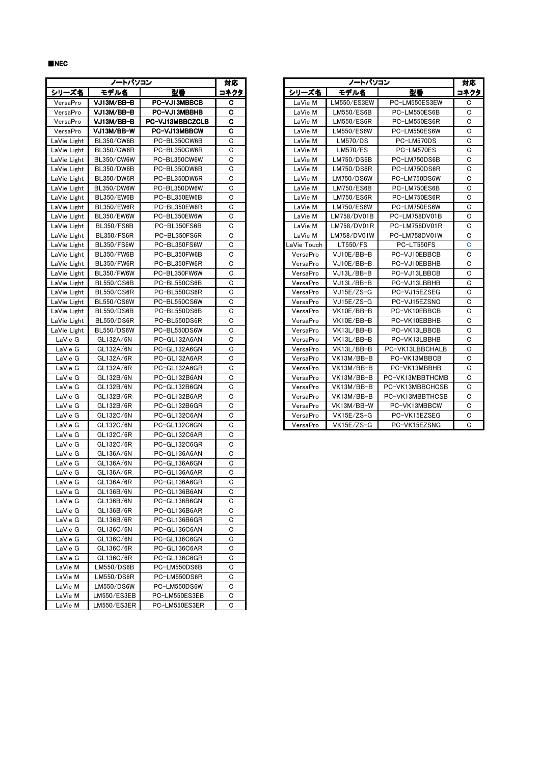■NEC

|             | ノートパソコン           |                 | 対応          |             | ノートパソコン |             |                 | 対대  |
|-------------|-------------------|-----------------|-------------|-------------|---------|-------------|-----------------|-----|
| シリーズ名       | モデル名              | 型番              | コネクタ        | シリーズ名       |         | モデル名        | 型番              | コネク |
| VersaPro    | VJ13M/BB-B        | PC-VJ13MBBCB    | c           | LaVie M     |         | LM550/ES3EW | PC-LM550ES3EW   | C   |
| VersaPro    | VJ13M/BB-B        | PC-VJ13MBBHB    | c           | LaVie M     |         | LM550/ES6B  | PC-LM550ES6B    | C   |
| VersaPro    | VJ13M/BB-B        | PC-VJ13MBBCZCLB | C           | LaVie M     |         | LM550/ES6R  | PC-LM550ES6R    | С   |
| VersaPro    | VJ13M/BB-W        | PC-VJ13MBBCW    | С           | LaVie M     |         | LM550/ES6W  | PC-LM550ES6W    | C   |
| LaVie Light | BL350/CW6B        | PC-BL350CW6B    | C           | LaVie M     |         | LM570/DS    | PC-LM570DS      | С   |
| LaVie Light | <b>BL350/CW6R</b> | PC-BL350CW6R    | C           | LaVie M     |         | LM570/ES    | PC-LM570ES      | С   |
| LaVie Light | <b>BL350/CW6W</b> | PC-BL350CW6W    | C           | LaVie M     |         | LM750/DS6B  | PC-LM750DS6B    | С   |
| LaVie Light | <b>BL350/DW6B</b> | PC-BL350DW6B    | C           | LaVie M     |         | LM750/DS6R  | PC-LM750DS6R    | С   |
| LaVie Light | BL350/DW6R        | PC-BL350DW6R    | C           | LaVie M     |         | LM750/DS6W  | PC-LM750DS6W    | С   |
| LaVie Light | <b>BL350/DW6W</b> | PC-BL350DW6W    | C           | LaVie M     |         | LM750/ES6B  | PC-LM750ES6B    | С   |
| LaVie Light | <b>BL350/EW6B</b> | PC-BL350EW6B    | С           | LaVie M     |         | LM750/ES6R  | PC-LM750ES6R    | С   |
| LaVie Light | <b>BL350/EW6R</b> | PC-BL350EW6R    | C           | LaVie M     |         | LM750/ES6W  | PC-LM750ES6W    | С   |
| LaVie Light | BL350/EW6W        | PC-BL350EW6W    | C           | LaVie M     |         | LM758/DV01B | PC-LM758DV01B   | С   |
| LaVie Light | BL350/FS6B        | PC-BL350FS6B    | C           | LaVie M     |         | LM758/DV01R | PC-LM758DV01R   | С   |
| LaVie Light | <b>BL350/FS6R</b> | PC-BL350FS6R    | С           | LaVie M     |         | LM758/DV01W | PC-LM758DV01W   | С   |
| LaVie Light | <b>BL350/FS6W</b> | PC-BL350FS6W    | C           | LaVie Touch |         | LT550/FS    | PC-LT550FS      | C   |
| LaVie Light | BL350/FW6B        | PC-BL350FW6B    | С           | VersaPro    |         | VJ10E/BB-B  | PC-VJ10EBBCB    | C   |
| LaVie Light | <b>BL350/FW6R</b> | PC-BL350FW6R    | C           | VersaPro    |         | VJ10E/BB-B  | PC-VJ10EBBHB    | C   |
| LaVie Light | <b>BL350/FW6W</b> | PC-BL350FW6W    | С           | VersaPro    |         | VJ13L/BB-B  | PC-VJ13LBBCB    | C   |
| LaVie Light | BL550/CS6B        | PC-BL550CS6B    | С           | VersaPro    |         | VJ13L/BB-B  | PC-VJ13LBBHB    | C   |
| LaVie Light | <b>BL550/CS6R</b> | PC-BL550CS6R    | C           | VersaPro    |         | VJ15E/ZS-G  | PC-VJ15EZSEG    | C   |
| LaVie Light | <b>BL550/CS6W</b> | PC-BL550CS6W    | C           | VersaPro    |         | VJ15E/ZS-G  | PC-VJ15EZSNG    | C   |
| LaVie Light | <b>BL550/DS6B</b> | PC-BL550DS6B    | С           | VersaPro    |         | VK10E/BB-B  | PC-VK10EBBCB    | С   |
| LaVie Light | BL550/DS6R        | PC-BL550DS6R    | C           | VersaPro    |         | VK10E/BB-B  | PC-VK10EBBHB    | С   |
| LaVie Light | <b>BL550/DS6W</b> | PC-BL550DS6W    | С           | VersaPro    |         | VK13L/BB-B  | PC-VK13LBBCB    | С   |
| LaVie G     | GL132A/6N         | PC-GL132A6AN    | C           | VersaPro    |         | VK13L/BB-B  | PC-VK13LBBHB    | C   |
| LaVie G     | GL132A/6N         | PC-GL132A6GN    | С           | VersaPro    |         | VK13L/BB-B  | PC-VK13LBBCHALB | С   |
| LaVie G     | GL132A/6R         | PC-GL132A6AR    | С           | VersaPro    |         | VK13M/BB-B  | PC-VK13MBBCB    | С   |
| LaVie G     | GL132A/6R         | PC-GL132A6GR    | C           | VersaPro    |         | VK13M/BB-B  | PC-VK13MBBHB    | С   |
| LaVie G     | GL132B/6N         | PC-GL132B6AN    | C           | VersaPro    |         | VK13M/BB-B  | PC-VK13MBBTHCMB | С   |
| LaVie G     | GL132B/6N         | PC-GL132B6GN    | С           | VersaPro    |         | VK13M/BB-B  | PC-VK13MBBCHCSB | С   |
| LaVie G     | GL132B/6R         | PC-GL132B6AR    | C           | VersaPro    |         | VK13M/BB-B  | PC-VK13MBBTHCSB | С   |
| LaVie G     | GL132B/6R         | PC-GL132B6GR    | C           | VersaPro    |         | VK13M/BB-W  | PC-VK13MBBCW    | С   |
| LaVie G     | GL132C/6N         | PC-GL132C6AN    | C           | VersaPro    |         | VK15E/ZS-G  | PC-VK15EZSEG    | C   |
| LaVie G     | GL132C/6N         | PC-GL132C6GN    | C           | VersaPro    |         | VK15E/ZS-G  | PC-VK15EZSNG    | C   |
| LaVie G     | GL132C/6R         | PC-GL132C6AR    | С           |             |         |             |                 |     |
| LaVie G     | GL132C/6R         | PC-GL132C6GR    | C           |             |         |             |                 |     |
| LaVie G     | GL136A/6N         | PC-GL136A6AN    | C           |             |         |             |                 |     |
| LaVie G     | GL136A/6N         | PC-GL136A6GN    | С           |             |         |             |                 |     |
| LaVie G     | GL136A/6R         | PC-GL136A6AR    | С           |             |         |             |                 |     |
| LaVie G     | GL136A/6R         | PC-GL136A6GR    | $\mathbf C$ |             |         |             |                 |     |
| LaVie G     | GL136B/6N         | PC-GL136B6AN    | C           |             |         |             |                 |     |
| LaVie G     | GL136B/6N         | PC-GL136B6GN    | С           |             |         |             |                 |     |
| LaVie G     | GL136B/6R         | PC-GL136B6AR    | С           |             |         |             |                 |     |
| LaVie G     | GL136B/6R         | PC-GL136B6GR    | С           |             |         |             |                 |     |
| LaVie G     | GL136C/6N         | PC-GL136C6AN    | С           |             |         |             |                 |     |
| LaVie G     | GL136C/6N         | PC-GL136C6GN    | С           |             |         |             |                 |     |
| LaVie G     | GL136C/6R         | PC-GL136C6AR    | С           |             |         |             |                 |     |
| LaVie G     | GL136C/6R         | PC-GL136C6GR    | С           |             |         |             |                 |     |
| LaVie M     | LM550/DS6B        | PC-LM550DS6B    | С           |             |         |             |                 |     |
| LaVie M     | LM550/DS6R        | PC-LM550DS6R    | С           |             |         |             |                 |     |
| LaVie M     | LM550/DS6W        | PC-LM550DS6W    | С           |             |         |             |                 |     |
| LaVie M     | LM550/ES3EB       | PC-LM550ES3EB   | C           |             |         |             |                 |     |
| LaVie M     | LM550/ES3ER       | PC-LM550ES3ER   | С           |             |         |             |                 |     |

|             | ノートパソコン           |                 | 対応   |             | ノートパソコン     |                 | 対応          |
|-------------|-------------------|-----------------|------|-------------|-------------|-----------------|-------------|
| シリーズ名       | モデル名              | 型番              | コネクタ | シリーズ名       | モデル名        | 型番              | コネクタ        |
| VersaPro    | VJ13M/BB-B        | PC-VJ13MBBCB    | c    | LaVie M     | LM550/ES3EW | PC-LM550ES3EW   | C           |
| VersaPro    | VJ13M/BB-B        | PC-VJ13MBBHB    | c    | LaVie M     | LM550/ES6B  | PC-LM550ES6B    | С           |
| VersaPro    | VJ13M/BB-B        | PC-VJ13MBBCZCLB | C    | LaVie M     | LM550/ES6R  | PC-LM550ES6R    | C           |
| VersaPro    | VJ13M/BB-W        | PC-VJ13MBBCW    | C    | LaVie M     | LM550/ES6W  | PC-LM550ES6W    | C           |
| LaVie Light | <b>BL350/CW6B</b> | PC-BL350CW6B    | С    | LaVie M     | LM570/DS    | PC-LM570DS      | C           |
| LaVie Light | <b>BL350/CW6R</b> | PC-BL350CW6R    | С    | LaVie M     | LM570/ES    | PC-LM570ES      | C           |
| LaVie Light | <b>BL350/CW6W</b> | PC-BL350CW6W    | С    | LaVie M     | LM750/DS6B  | PC-LM750DS6B    | C           |
| LaVie Light | <b>BL350/DW6B</b> | PC-BL350DW6B    | С    | LaVie M     | LM750/DS6R  | PC-LM750DS6R    | C           |
| LaVie Light | <b>BL350/DW6R</b> | PC-BL350DW6R    | C    | LaVie M     | LM750/DS6W  | PC-LM750DS6W    | C           |
| LaVie Light | <b>BL350/DW6W</b> | PC-BL350DW6W    | С    | LaVie M     | LM750/ES6B  | PC-LM750ES6B    | C           |
| LaVie Light | <b>BL350/EW6B</b> | PC-BL350EW6B    | C    | LaVie M     | LM750/ES6R  | PC-LM750ES6R    | C           |
| LaVie Light | BL350/EW6R        | PC-BL350EW6R    | C    | LaVie M     | LM750/ES6W  | PC-LM750ES6W    | C           |
| LaVie Light | <b>BL350/EW6W</b> | PC-BL350EW6W    | C    | LaVie M     | LM758/DV01B | PC-LM758DV01B   | $\mathbf C$ |
| LaVie Light | <b>BL350/FS6B</b> | PC-BL350FS6B    | C    | LaVie M     | LM758/DV01R | PC-LM758DV01R   | C           |
| LaVie Light | <b>BL350/FS6R</b> | PC-BL350FS6R    | C    | LaVie M     | LM758/DV01W | PC-LM758DV01W   | C           |
| LaVie Light | <b>BL350/FS6W</b> | PC-BL350FS6W    | C    | LaVie Touch | LT550/FS    | PC-LT550FS      | C           |
| LaVie Light | <b>BL350/FW6B</b> | PC-BL350FW6B    | C    | VersaPro    | VJ10E/BB-B  | PC-VJ10EBBCB    | C           |
| LaVie Light | <b>BL350/FW6R</b> | PC-BL350FW6R    | C    | VersaPro    | VJ10E/BB-B  | PC-VJ10EBBHB    | C           |
| LaVie Light | <b>BL350/FW6W</b> | PC-BL350FW6W    | C    | VersaPro    | VJ13L/BB-B  | PC-VJ13LBBCB    | C           |
| LaVie Light | <b>BL550/CS6B</b> | PC-BL550CS6B    | C    | VersaPro    | VJ13L/BB-B  | PC-VJ13LBBHB    | C           |
| LaVie Light | <b>BL550/CS6R</b> | PC-BL550CS6R    | C    | VersaPro    | VJ15E/ZS-G  | PC-VJ15EZSEG    | C           |
| LaVie Light | <b>BL550/CS6W</b> | PC-BL550CS6W    | C    | VersaPro    | VJ15E/ZS-G  | PC-VJ15EZSNG    | C           |
| LaVie Light | <b>BL550/DS6B</b> | PC-BL550DS6B    | C    | VersaPro    | VK10E/BB-B  | PC-VK10EBBCB    | C           |
| LaVie Light | <b>BL550/DS6R</b> | PC-BL550DS6R    | C    | VersaPro    | VK10E/BB-B  | PC-VK10EBBHB    | C           |
| LaVie Light | <b>BL550/DS6W</b> | PC-BL550DS6W    | C    | VersaPro    | VK13L/BB-B  | PC-VK13LBBCB    | $\mathbf C$ |
| LaVie G     | GL132A/6N         | PC-GL132A6AN    | C    | VersaPro    | VK13L/BB-B  | PC-VK13LBBHB    | C           |
| LaVie G     | GL132A/6N         | PC-GL132A6GN    | C    | VersaPro    | VK13L/BB-B  | PC-VK13LBBCHALB | C           |
| LaVie G     | GL132A/6R         | PC-GL132A6AR    | C    | VersaPro    | VK13M/BB-B  | PC-VK13MBBCB    | $\mathbf C$ |
| LaVie G     | GL132A/6R         | PC-GL132A6GR    | C    | VersaPro    | VK13M/BB-B  | PC-VK13MBBHB    | C           |
| LaVie G     | GL132B/6N         | PC-GL132B6AN    | C    | VersaPro    | VK13M/BB-B  | PC-VK13MBBTHCMB | $\mathbf C$ |
| LaVie G     | GL132B/6N         | PC-GL132B6GN    | C    | VersaPro    | VK13M/BB-B  | PC-VK13MBBCHCSB | C           |
| LaVie G     | GL132B/6R         | PC-GL132B6AR    | C    | VersaPro    | VK13M/BB-B  | PC-VK13MBBTHCSB | C           |
| LaVie G     | GL132B/6R         | PC-GL132B6GR    | C    | VersaPro    | VK13M/BB-W  | PC-VK13MBBCW    | C           |
| LaVie G     | GL132C/6N         | PC-GL132C6AN    | C    | VersaPro    | VK15E/ZS-G  | PC-VK15EZSEG    | C           |
| LaVie G     | GL132C/6N         | PC-GL132C6GN    | C    | VersaPro    | VK15E/ZS-G  | PC-VK15EZSNG    | $\mathbf C$ |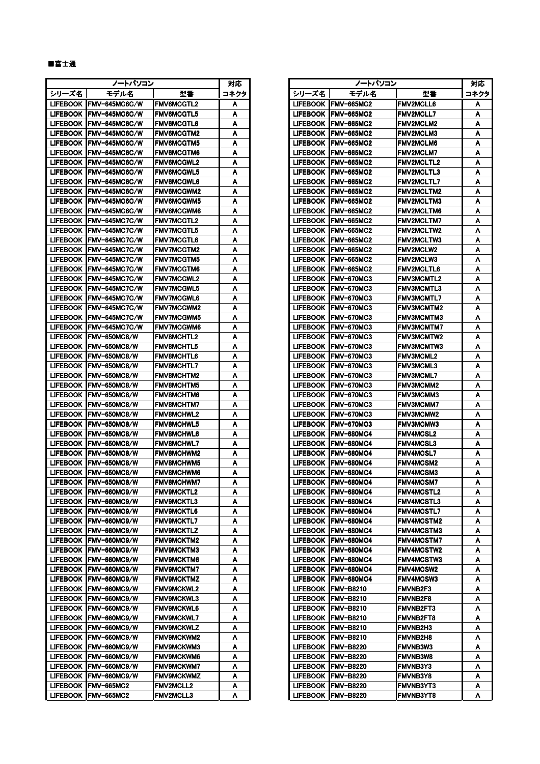## ■富士通

|       | ノートバソコン                  |                   | 対応     |                 | ノートバソコン                |                   | 쳐다  |
|-------|--------------------------|-------------------|--------|-----------------|------------------------|-------------------|-----|
| シリーズ名 | モデル名                     | 型番                | コネクタ   | シリーズ名           | モデル名                   | 型番                | コネク |
|       | LIFEBOOK   FMV-645MC6C/W | <b>FMV6MCGTL2</b> | A      |                 | LIFEBOOK   FMV-665MC2  | <b>FMV2MCLL6</b>  | A   |
|       | LIFEBOOK FMV-645MC6C/W   | FMV6MCGTL5        | Α      |                 | LIFEBOOK   FMV-665MC2  | <b>FMV2MCLL7</b>  | A   |
|       | LIFEBOOK IFMV-645MC6C/W  | <b>FMV6MCGTL6</b> | A      |                 | LIFEBOOK IFMV-665MC2   | <b>FMV2MCLM2</b>  | A   |
|       | LIFEBOOK   FMV-645MC6C/W | <b>FMV6MCGTM2</b> | A      |                 | LIFEBOOK   FMV-665MC2  | FMV2MCLM3         | A   |
|       | LIFEBOOK IFMV-645MC6C/W  | <b>FMV6MCGTM5</b> | A      |                 | LIFEBOOK IFMV-665MC2   | <b>FMV2MCLM6</b>  | A   |
|       | LIFEBOOK IFMV-645MC6C/W  | <b>FMV6MCGTM6</b> | A      |                 | LIFEBOOK   FMV-665MC2  | <b>FMV2MCLM7</b>  | A   |
|       | LIFEBOOK IFMV-645MC6C/W  | <b>FMV6MCGWL2</b> | A      |                 | LIFEBOOK IFMV-665MC2   | <b>FMV2MCLTL2</b> | A   |
|       | LIFEBOOK   FMV-645MC6C/W | <b>FMV6MCGWL5</b> | A      |                 | LIFEBOOK   FMV-665MC2  | <b>FMV2MCLTL3</b> | A   |
|       | LIFEBOOK IFMV-645MC6C/W  | <b>FMV6MCGWL6</b> | A      |                 | LIFEBOOK   FMV-665MC2  | <b>FMV2MCLTL7</b> | A   |
|       | LIFEBOOK FMV-645MC6C/W   | <b>FMV6MCGWM2</b> | A      |                 | LIFEBOOK IFMV-665MC2   | <b>FMV2MCLTM2</b> | A   |
|       | LIFEBOOK   FMV-645MC6C/W | <b>FMV6MCGWM5</b> | A      |                 | LIFEBOOK IFMV-665MC2   | <b>FMV2MCLTM3</b> | A   |
|       | LIFEBOOK   FMV-645MC6C/W | <b>FMV6MCGWM6</b> | A      |                 | LIFEBOOK   FMV-665MC2  | <b>FMV2MCLTM6</b> | A   |
|       | LIFEBOOK   FMV-645MC7C/W | <b>FMV7MCGTL2</b> | A      |                 | LIFEBOOK IFMV-665MC2   | <b>FMV2MCLTM7</b> | A   |
|       | LIFEBOOK   FMV-645MC7C/W | <b>FMV7MCGTL5</b> | A      |                 | LIFEBOOK   FMV-665MC2  | <b>FMV2MCLTW2</b> | A   |
|       | LIFEBOOK FMV-645MC7C/W   | <b>FMV7MCGTL6</b> | A      |                 | LIFEBOOK IFMV-665MC2   | <b>FMV2MCLTW3</b> | A   |
|       | LIFEBOOK   FMV-645MC7C/W | <b>FMV7MCGTM2</b> | A      |                 | LIFEBOOK   FMV-665MC2  | <b>FMV2MCLW2</b>  | A   |
|       | LIFEBOOK IFMV-645MC7C/W  | <b>FMV7MCGTM5</b> | A      |                 | LIFEBOOK IFMV-665MC2   | <b>FMV2MCLW3</b>  | A   |
|       | LIFEBOOK FMV-645MC7C/W   | <b>FMV7MCGTM6</b> | A      |                 | LIFEBOOK   FMV-665MC2  | <b>FMV2MCLTL6</b> | A   |
|       | LIFEBOOK FMV-645MC7C/W   | <b>FMV7MCGWL2</b> | Α      |                 | LIFEBOOK IFMV-670MC3   | <b>FMV3MCMTL2</b> | A   |
|       | LIFEBOOK   FMV-645MC7C/W | <b>FMV7MCGWL5</b> | A      |                 | LIFEBOOK IFMV-670MC3   | <b>FMV3MCMTL3</b> | A   |
|       | LIFEBOOK IFMV-645MC7C/W  | <b>FMV7MCGWL6</b> | A      |                 | LIFEBOOK FMV-670MC3    | <b>FMV3MCMTL7</b> | A   |
|       | LIFEBOOK IFMV-645MC7C/W  | <b>FMV7MCGWM2</b> | A      |                 | LIFEBOOK    FMV-670MC3 | <b>FMV3MCMTM2</b> | A   |
|       | LIFEBOOK FMV-645MC7C/W   | <b>FMV7MCGWM5</b> | A      |                 | LIFEBOOK IFMV-670MC3   | <b>FMV3MCMTM3</b> | A   |
|       | LIFEBOOK IFMV-645MC7C/W  | <b>FMV7MCGWM6</b> | A      |                 | LIFEBOOK   FMV-670MC3  | <b>FMV3MCMTM7</b> | A   |
|       | LIFEBOOK IFMV-650MC8/W   | <b>FMV8MCHTL2</b> | A      |                 | LIFEBOOK IFMV-670MC3   | <b>FMV3MCMTW2</b> | A   |
|       | LIFEBOOK IFMV-650MC8/W   | <b>FMV8MCHTL5</b> | A      |                 | LIFEBOOK   FMV-670MC3  | FMV3MCMTW3        | A   |
|       | LIFEBOOK FMV-650MC8/W    | <b>FMV8MCHTL6</b> | A      |                 | LIFEBOOK FMV-670MC3    | <b>FMV3MCML2</b>  | A   |
|       | LIFEBOOK IFMV-650MC8/W   | <b>FMV8MCHTL7</b> | A      |                 | LIFEBOOK IFMV-670MC3   | FMV3MCML3         | A   |
|       | LIFEBOOK FMV-650MC8/W    | <b>FMV8MCHTM2</b> | A      |                 | LIFEBOOK IFMV-670MC3   | <b>FMV3MCML7</b>  | A   |
|       | LIFEBOOK IFMV-650MC8/W   | <b>FMV8MCHTM5</b> | A      |                 | LIFEBOOK   FMV-670MC3  | <b>FMV3MCMM2</b>  | A   |
|       | LIFEBOOK FMV-650MC8/W    | <b>FMV8MCHTM6</b> | Α      |                 | LIFEBOOK IFMV-670MC3   | <b>FMV3MCMM3</b>  | A   |
|       | LIFEBOOK IFMV-650MC8/W   | <b>FMV8MCHTM7</b> | A      |                 | LIFEBOOK IFMV-670MC3   | <b>FMV3MCMM7</b>  | A   |
|       | LIFEBOOK FMV-650MC8/W    | <b>FMV8MCHWL2</b> | Α      |                 | LIFEBOOK IFMV-670MC3   | <b>FMV3MCMW2</b>  | A   |
|       | LIFEBOOK IFMV-650MC8/W   | <b>FMV8MCHWL5</b> | A      |                 | LIFEBOOK IFMV-670MC3   | <b>FMV3MCMW3</b>  | A   |
|       | LIFEBOOK FMV-650MC8/W    | <b>FMV8MCHWL6</b> | Α      |                 | LIFEBOOK IFMV-680MC4   | <b>FMV4MCSL2</b>  | A   |
|       | LIFEBOOK IFMV-650MC8/W   | <b>FMV8MCHWL7</b> | A      |                 | LIFEBOOK   FMV-680MC4  | FMV4MCSL3         | A   |
|       | LIFEBOOK FMV-650MC8/W    | <b>FMV8MCHWM2</b> | Α      |                 | LIFEBOOK IFMV-680MC4   | <b>FMV4MCSL7</b>  | A   |
|       | LIFEBOOK IFMV-650MC8/W   | <b>FMV8MCHWM5</b> | A      | <b>LIFEBOOK</b> | FMV-680MC4             | <b>FMV4MCSM2</b>  | A   |
|       | LIFEBOOK FMV-650MC8/W    | FMV8MCHWM6        | Α      |                 | LIFEBOOK   FMV-680MC4  | <b>FMV4MCSM3</b>  | A   |
|       | LIFEBOOK FMV-650MC8/W    | FMV8MCHWM7        | A<br>~ |                 | LIFEBOOK FMV-680MC4    | <b>FMV4MCSM7</b>  | A   |
|       | LIFEBOOK FMV-660MC9/W    | <b>FMV9MCKTL2</b> | Α      |                 | LIFEBOOK FMV-680MC4    | <b>FMV4MCSTL2</b> | A   |
|       | LIFEBOOK IFMV-660MC9/W   | <b>FMV9MCKTL3</b> | A      |                 | LIFEBOOK   FMV-680MC4  | FMV4MCSTL3        | A   |
|       | LIFEBOOK FMV-660MC9/W    | <b>FMV9MCKTL6</b> | Α      |                 | LIFEBOOK FMV-680MC4    | FMV4MCSTL7        | A   |
|       | LIFEBOOK IFMV-660MC9/W   | <b>FMV9MCKTL7</b> | A      |                 | LIFEBOOK   FMV-680MC4  | FMV4MCSTM2        | A   |
|       | LIFEBOOK FMV-660MC9/W    | <b>FMV9MCKTLZ</b> | A      |                 | LIFEBOOK FMV-680MC4    | <b>FMV4MCSTM3</b> | A   |
|       | LIFEBOOK IFMV-660MC9/W   | <b>FMV9MCKTM2</b> | A      |                 | LIFEBOOK   FMV-680MC4  | <b>FMV4MCSTM7</b> | A   |
|       | LIFEBOOK IFMV-660MC9/W   | <b>FMV9MCKTM3</b> | A      |                 | LIFEBOOK   FMV-680MC4  | <b>FMV4MCSTW2</b> | A   |
|       | LIFEBOOK IFMV-660MC9/W   | <b>FMV9MCKTM6</b> | A      |                 | LIFEBOOK   FMV-680MC4  | FMV4MCSTW3        | A   |
|       | LIFEBOOK   FMV-660MC9/W  | <b>FMV9MCKTM7</b> | A      |                 | LIFEBOOK FMV-680MC4    | <b>FMV4MCSW2</b>  | A   |
|       | LIFEBOOK FMV-660MC9/W    | <b>FMV9MCKTMZ</b> | A      |                 | LIFEBOOK   FMV-680MC4  | FMV4MCSW3         | A   |
|       | LIFEBOOK   FMV-660MC9/W  | <b>FMV9MCKWL2</b> | A      |                 | LIFEBOOK FMV-B8210     | FMVNB2F3          | A   |
|       | LIFEBOOK FMV-660MC9/W    | <b>FMV9MCKWL3</b> | A      |                 | LIFEBOOK IFMV-B8210    | <b>FMVNB2F8</b>   | A   |
|       | LIFEBOOK   FMV-660MC9/W  | <b>FMV9MCKWL6</b> | A      |                 | LIFEBOOK   FMV-B8210   | <b>FMVNB2FT3</b>  | A   |
|       | LIFEBOOK   FMV-660MC9/W  | <b>FMV9MCKWL7</b> | A      |                 | LIFEBOOK   FMV-B8210   | FMVNB2FT8         | A   |
|       | LIFEBOOK   FMV-660MC9/W  | <b>FMV9MCKWLZ</b> | A      |                 | LIFEBOOK   FMV-B8210   | <b>FMVNB2H3</b>   | A   |
|       | LIFEBOOK   FMV-660MC9/W  | <b>FMV9MCKWM2</b> | A      |                 | LIFEBOOK IFMV-B8210    | <b>FMVNB2H8</b>   | A   |
|       | LIFEBOOK IFMV-660MC9/W   | <b>FMV9MCKWM3</b> | A      |                 | LIFEBOOK   FMV-B8220   | <b>FMVNB3W3</b>   | A   |
|       | LIFEBOOK FMV-660MC9/W    | <b>FMV9MCKWM6</b> | Α      |                 | LIFEBOOK   FMV-B8220   | <b>FMVNB3W8</b>   | A   |
|       | LIFEBOOK FMV-660MC9/W    | <b>FMV9MCKWM7</b> | A      |                 | LIFEBOOK   FMV-B8220   | FMVNB3Y3          | A   |
|       | LIFEBOOK   FMV-660MC9/W  | <b>FMV9MCKWMZ</b> | A      |                 | LIFEBOOK   FMV-B8220   | <b>FMVNB3Y8</b>   | A   |
|       | LIFEBOOK   FMV-665MC2    | <b>FMV2MCLL2</b>  | A      |                 | LIFEBOOK   FMV-B8220   | FMVNB3YT3         | A   |
|       | LIFEBOOK FMV-665MC2      | <b>FMV2MCLL3</b>  | Α      |                 | LIFEBOOK FMV-B8220     | <b>FMVNB3YT8</b>  | A   |

|       | ノートパソコン                  |                   | 対応   |                 | ノートパソコン               |                   | 対応   |
|-------|--------------------------|-------------------|------|-----------------|-----------------------|-------------------|------|
| シリーズ名 | モデル名                     | 型番                | コネクタ | シリーズ名           | モデル名                  | 型番                | コネクタ |
|       | LIFEBOOK IFMV-645MC6C/W  | <b>FMV6MCGTL2</b> | A    |                 | LIFEBOOK IFMV-665MC2  | <b>FMV2MCLL6</b>  | A    |
|       | LIFEBOOK  FMV-645MC6C/W  | <b>FMV6MCGTL5</b> | Α    | <b>LIFEBOOK</b> | <b>FMV-665MC2</b>     | <b>FMV2MCLL7</b>  | A    |
|       | LIFEBOOK IFMV-645MC6C/W  | <b>FMV6MCGTL6</b> | A    | <b>LIFEBOOK</b> | <b>FMV-665MC2</b>     | <b>FMV2MCLM2</b>  | A    |
|       | LIFEBOOK IFMV-645MC6C/W  | <b>FMV6MCGTM2</b> | A    | LIFEBOOK I      | FMV-665MC2            | <b>FMV2MCLM3</b>  | A    |
|       | LIFEBOOK  FMV-645MC6C/W  | <b>FMV6MCGTM5</b> | A    | <b>LIFEBOOK</b> | <b>FMV-665MC2</b>     | <b>FMV2MCLM6</b>  | A    |
|       | LIFEBOOK  FMV-645MC6C/W  | <b>FMV6MCGTM6</b> | A    | LIFEBOOK        | FMV-665MC2            | <b>FMV2MCLM7</b>  | A    |
|       | LIFEBOOK  FMV-645MC6C/W  | <b>FMV6MCGWL2</b> | A    | <b>LIFEBOOK</b> | <b>FMV-665MC2</b>     | <b>FMV2MCLTL2</b> | A    |
|       | LIFEBOOK IFMV-645MC6C/W  | <b>FMV6MCGWL5</b> | A    | LIFEBOOK        | FMV-665MC2            | <b>FMV2MCLTL3</b> | A    |
|       | LIFEBOOK IFMV-645MC6C/W  | <b>FMV6MCGWL6</b> | A    | <b>LIFEBOOK</b> | FMV-665MC2            | <b>FMV2MCLTL7</b> | A    |
|       | LIFEBOOK IFMV-645MC6C/W  | <b>FMV6MCGWM2</b> | A    | LIFEBOOK        | FMV-665MC2            | <b>FMV2MCLTM2</b> | A    |
|       | LIFEBOOK   FMV-645MC6C/W | <b>FMV6MCGWM5</b> | A    | <b>LIFEBOOK</b> | <b>FMV-665MC2</b>     | <b>FMV2MCLTM3</b> | A    |
|       | LIFEBOOK IFMV-645MC6C/W  | <b>FMV6MCGWM6</b> | A    | <b>LIFEBOOK</b> | <b>FMV-665MC2</b>     | <b>FMV2MCLTM6</b> |      |
|       | LIFEBOOK IFMV-645MC7C/W  |                   |      | LIFEBOOK        | FMV-665MC2            | <b>FMV2MCLTM7</b> | A    |
|       |                          | <b>FMV7MCGTL2</b> | A    |                 |                       |                   | A    |
|       | LIFEBOOK   FMV-645MC7C/W | <b>FMV7MCGTL5</b> | A    | <b>LIFEBOOK</b> | <b>FMV-665MC2</b>     | <b>FMV2MCLTW2</b> | A    |
|       | LIFEBOOK  FMV-645MC7C/W  | <b>FMV7MCGTL6</b> | Α    | LIFEBOOK        | <b>FMV-665MC2</b>     | <b>FMV2MCLTW3</b> | Α    |
|       | LIFEBOOK  FMV-645MC7C/W  | <b>FMV7MCGTM2</b> | A    | <b>LIFEBOOK</b> | <b>FMV-665MC2</b>     | <b>FMV2MCLW2</b>  | A    |
|       | LIFEBOOK IFMV-645MC7C/W  | <b>FMV7MCGTM5</b> | A    | LIFEBOOK        | FMV-665MC2            | <b>FMV2MCLW3</b>  | A    |
|       | LIFEBOOK IFMV-645MC7C/W  | <b>FMV7MCGTM6</b> | A    | <b>LIFEBOOK</b> | FMV-665MC2            | <b>FMV2MCLTL6</b> | A    |
|       | LIFEBOOK  FMV-645MC7C/W  | <b>FMV7MCGWL2</b> | Α    | LIFEBOOK        | FMV-670MC3            | <b>FMV3MCMTL2</b> | Α    |
|       | LIFEBOOK   FMV-645MC7C/W | <b>FMV7MCGWL5</b> | A    | <b>LIFEBOOK</b> | FMV-670MC3            | <b>FMV3MCMTL3</b> | A    |
|       | LIFEBOOK  FMV-645MC7C/W  | <b>FMV7MCGWL6</b> | A    | LIFEBOOK        | FMV-670MC3            | <b>FMV3MCMTL7</b> | Α    |
|       | LIFEBOOK   FMV-645MC7C/W | <b>FMV7MCGWM2</b> | A    | LIFEBOOK        | FMV-670MC3            | <b>FMV3MCMTM2</b> | A    |
|       | LIFEBOOK  FMV-645MC7C/W  | <b>FMV7MCGWM5</b> | A    | LIFEBOOK        | FMV-670MC3            | <b>FMV3MCMTM3</b> | A    |
|       | LIFEBOOK  FMV-645MC7C/W  | <b>FMV7MCGWM6</b> | A    | <b>LIFEBOOK</b> | FMV-670MC3            | <b>FMV3MCMTM7</b> | A    |
|       | LIFEBOOK   FMV-650MC8/W  | <b>FMV8MCHTL2</b> | Α    | <b>LIFEBOOK</b> | FMV-670MC3            | <b>FMV3MCMTW2</b> | Α    |
|       | LIFEBOOK IFMV-650MC8/W   | <b>FMV8MCHTL5</b> | A    | <b>LIFEBOOK</b> | FMV-670MC3            | <b>FMV3MCMTW3</b> | A    |
|       | LIFEBOOK IFMV-650MC8/W   | <b>FMV8MCHTL6</b> | A    | LIFEBOOK I      | FMV-670MC3            | <b>FMV3MCML2</b>  | A    |
|       | LIFEBOOK  FMV-650MC8/W   | <b>FMV8MCHTL7</b> | A    | <b>LIFEBOOK</b> | <b>FMV-670MC3</b>     | <b>FMV3MCML3</b>  | A    |
|       | LIFEBOOK   FMV-650MC8/W  | <b>FMV8MCHTM2</b> | A    | LIFEBOOK        | FMV-670MC3            | <b>FMV3MCML7</b>  | A    |
|       | LIFEBOOK   FMV-650MC8/W  | <b>FMV8MCHTM5</b> | A    | <b>LIFEBOOK</b> | <b>FMV-670MC3</b>     | <b>FMV3MCMM2</b>  | A    |
|       | LIFEBOOK IFMV-650MC8/W   | <b>FMV8MCHTM6</b> | A    | LIFEBOOK        | FMV-670MC3            | <b>FMV3MCMM3</b>  | A    |
|       | LIFEBOOK   FMV-650MC8/W  | <b>FMV8MCHTM7</b> | A    | LIFEBOOK        | FMV-670MC3            | <b>FMV3MCMM7</b>  | A    |
|       |                          |                   |      |                 |                       | <b>FMV3MCMW2</b>  |      |
|       | LIFEBOOK   FMV-650MC8/W  | <b>FMV8MCHWL2</b> | A    | <b>LIFEBOOK</b> | FMV-670MC3            |                   | Α    |
|       | LIFEBOOK   FMV-650MC8/W  | <b>FMV8MCHWL5</b> | A    | <b>LIFEBOOK</b> | <b>FMV-670MC3</b>     | <b>FMV3MCMW3</b>  | A    |
|       | LIFEBOOK   FMV-650MC8/W  | <b>FMV8MCHWL6</b> | A    | <b>LIFEBOOK</b> | FMV-680MC4            | <b>FMV4MCSL2</b>  | Α    |
|       | LIFEBOOK   FMV-650MC8/W  | <b>FMV8MCHWL7</b> | A    | LIFEBOOK I      | FMV-680MC4            | <b>FMV4MCSL3</b>  | A    |
|       | LIFEBOOK   FMV-650MC8/W  | <b>FMV8MCHWM2</b> | Α    | LIFEBOOK        | FMV-680MC4            | <b>FMV4MCSL7</b>  | A    |
|       | LIFEBOOK IFMV-650MC8/W   | <b>FMV8MCHWM5</b> | A    | <b>LIFEBOOK</b> | <b>FMV-680MC4</b>     | <b>FMV4MCSM2</b>  | A    |
|       | LIFEBOOK   FMV-650MC8/W  | <b>FMV8MCHWM6</b> | Α    | LIFEBOOK        | <b>FMV-680MC4</b>     | <b>FMV4MCSM3</b>  | Α    |
|       | LIFEBOOK FMV-650MC8/W    | FMV8MCHWM7        | Α    |                 | LIFEBOOK FMV-680MC4   | <b>FMV4MCSM7</b>  | A    |
|       | LIFEBOOK  FMV-660MC9/W   | <b>FMV9MCKTL2</b> | Α    |                 | LIFEBOOK   FMV-680MC4 | <b>FMV4MCSTL2</b> | A    |
|       | LIFEBOOK  FMV-660MC9/W   | <b>FMV9MCKTL3</b> | A    | <b>LIFEBOOK</b> | <b>FMV-680MC4</b>     | <b>FMV4MCSTL3</b> | A    |
|       | LIFEBOOK IFMV-660MC9/W   | <b>FMV9MCKTL6</b> | A    | LIFEBOOK        | <b>FMV-680MC4</b>     | <b>FMV4MCSTL7</b> | A    |
|       | LIFEBOOK IFMV-660MC9/W   | <b>FMV9MCKTL7</b> | A    | LIFEBOOK        | <b>FMV-680MC4</b>     | <b>FMV4MCSTM2</b> | A    |
|       | LIFEBOOK   FMV-660MC9/W  | <b>FMV9MCKTLZ</b> | A    | LIFEBOOK        | FMV-680MC4            | <b>FMV4MCSTM3</b> | A    |
|       | LIFEBOOK   FMV-660MC9/W  | <b>FMV9MCKTM2</b> | A    | LIFEBOOK        | <b>FMV-680MC4</b>     | <b>FMV4MCSTM7</b> | A    |
|       | LIFEBOOK   FMV-660MC9/W  | <b>FMV9MCKTM3</b> | A    | LIFEBOOK        | <b>FMV-680MC4</b>     | <b>FMV4MCSTW2</b> | A    |
|       | LIFEBOOK   FMV-660MC9/W  | <b>FMV9MCKTM6</b> | A    | LIFEBOOK        | <b>FMV-680MC4</b>     | <b>FMV4MCSTW3</b> | A    |
|       | LIFEBOOK IFMV-660MC9/W   | <b>FMV9MCKTM7</b> | A    | LIFEBOOK        | FMV-680MC4            | <b>FMV4MCSW2</b>  | A    |
|       | LIFEBOOK IFMV-660MC9/W   | <b>FMV9MCKTMZ</b> | A    | LIFEBOOK        | <b>FMV-680MC4</b>     | <b>FMV4MCSW3</b>  | A    |
|       | LIFEBOOK FMV-660MC9/W    | <b>FMV9MCKWL2</b> | A    | LIFEBOOK        | <b>FMV-B8210</b>      | <b>FMVNB2F3</b>   | A    |
|       | LIFEBOOK   FMV-660MC9/W  | <b>FMV9MCKWL3</b> | A    | LIFEBOOK        | <b>FMV-B8210</b>      | <b>FMVNB2F8</b>   | A    |
|       | LIFEBOOK  FMV-660MC9/W   | <b>FMV9MCKWL6</b> |      | LIFEBOOK        | <b>FMV-B8210</b>      | <b>FMVNB2FT3</b>  |      |
|       |                          |                   | A    |                 |                       |                   | A    |
|       | LIFEBOOK  FMV-660MC9/W   | <b>FMV9MCKWL7</b> | A    | LIFEBOOK        | <b>FMV-B8210</b>      | <b>FMVNB2FT8</b>  | A    |
|       | LIFEBOOK   FMV-660MC9/W  | <b>FMV9MCKWLZ</b> | A    | LIFEBOOK        | <b>FMV-B8210</b>      | <b>FMVNB2H3</b>   | A    |
|       | LIFEBOOK   FMV-660MC9/W  | <b>FMV9MCKWM2</b> | A    | LIFEBOOK        | <b>FMV-B8210</b>      | <b>FMVNB2H8</b>   | A    |
|       | LIFEBOOK   FMV-660MC9/W  | <b>FMV9MCKWM3</b> | A    | <b>LIFEBOOK</b> | <b>FMV-B8220</b>      | <b>FMVNB3W3</b>   | A    |
|       | LIFEBOOK   FMV-660MC9/W  | <b>FMV9MCKWM6</b> | Α    | LIFEBOOK        | <b>FMV-B8220</b>      | <b>FMVNB3W8</b>   | A    |
|       | LIFEBOOK   FMV-660MC9/W  | <b>FMV9MCKWM7</b> | A    | <b>LIFEBOOK</b> | <b>FMV-B8220</b>      | <b>FMVNB3Y3</b>   | A    |
|       | LIFEBOOK  FMV-660MC9/W   | <b>FMV9MCKWMZ</b> | A    | LIFEBOOK        | <b>FMV-B8220</b>      | <b>FMVNB3Y8</b>   | A    |
|       | LIFEBOOK   FMV-665MC2    | <b>FMV2MCLL2</b>  | A    | LIFEBOOK        | <b>FMV-B8220</b>      | <b>FMVNB3YT3</b>  | A    |
|       | LIFEBOOK   FMV-665MC2    | <b>FMV2MCLL3</b>  | A    | LIFEBOOK        | <b>FMV-B8220</b>      | <b>FMVNB3YT8</b>  | A    |
|       |                          |                   |      |                 |                       |                   |      |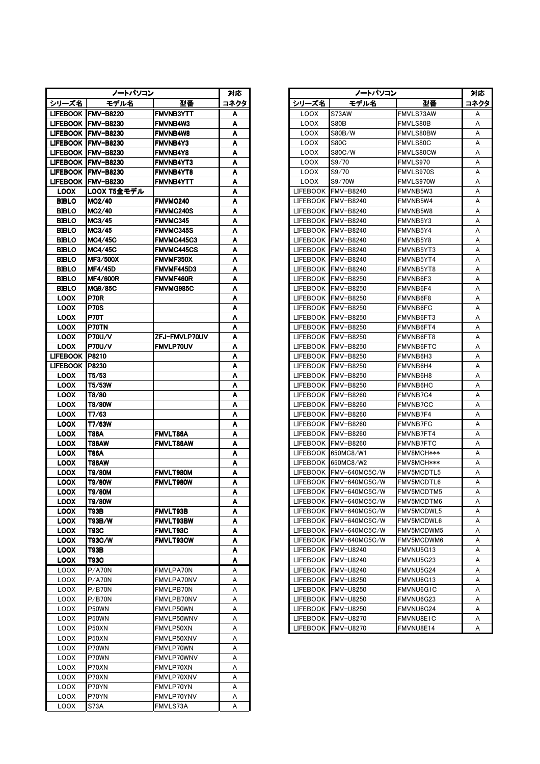|                 | ノートパソコン             |                   | 対応   |                 | ノートパソコン                |                  |     |
|-----------------|---------------------|-------------------|------|-----------------|------------------------|------------------|-----|
| シリーズ名           | モデル名                | 型番                | コネクタ | シリーズ名           | モデル名                   | 型番               | コネク |
|                 | LIFEBOOK IFMV-B8220 | <b>FMVNB3YTT</b>  | A    | <b>LOOX</b>     | S73AW                  | FMVLS73AW        | A   |
|                 | LIFEBOOK IFMV-B8230 | <b>FMVNB4W3</b>   | A    | LOOX            | S80B                   | FMVLS80B         | A   |
|                 | LIFEBOOK IFMV-B8230 | <b>FMVNB4W8</b>   | A    | <b>LOOX</b>     | S80B/W                 | FMVLS80BW        | A   |
|                 | LIFEBOOK IFMV-B8230 | FMVNB4Y3          | A    | <b>LOOX</b>     | <b>S80C</b>            | FMVLS80C         | A   |
|                 | LIFEBOOK IFMV-B8230 | <b>FMVNB4Y8</b>   | A    | LOOX            | S80C/W                 | <b>FMVLS80CW</b> | A   |
|                 | LIFEBOOK FMV-B8230  | <b>FMVNB4YT3</b>  | A    | LOOX            | S9/70                  | FMVLS970         | А   |
|                 | LIFEBOOK FMV-B8230  | <b>FMVNB4YT8</b>  | A    | <b>LOOX</b>     | S9/70                  | FMVLS970S        | A   |
|                 | LIFEBOOK FMV-B8230  | <b>FMVNB4YTT</b>  | A    | <b>LOOX</b>     | S9/70W                 | FMVLS970W        | A   |
| <b>LOOX</b>     | LOOX T5全モデル         |                   | A    | <b>LIFEBOOK</b> | FMV-B8240              | FMVNB5W3         | A   |
| <b>BIBLO</b>    | MG2/40              | <b>FMVMC240</b>   | A    | <b>LIFEBOOK</b> | FMV-B8240              | FMVNB5W4         | A   |
| <b>BIBLO</b>    | MG2/40              | <b>FMVMC240S</b>  | A    | <b>LIFEBOOK</b> | <b>FMV-B8240</b>       | FMVNB5W8         | A   |
| <b>BIBLO</b>    | MC3/45              | <b>FMVMC345</b>   | A    | <b>LIFEBOOK</b> | FMV-B8240              | FMVNB5Y3         | A   |
| <b>BIBLO</b>    | MC3/45              | <b>FMVMC345S</b>  | A    | <b>LIFEBOOK</b> | FMV-B8240              | FMVNB5Y4         | A   |
| <b>BIBLO</b>    | MC4/45C             | <b>FMVMC445C3</b> | Α    | LIFEBOOK        | <b>FMV-B8240</b>       | FMVNB5Y8         | A   |
| <b>BIBLO</b>    | <b>MC4/45C</b>      | <b>FMVMC445CS</b> | A    | <b>LIFEBOOK</b> | <b>FMV-B8240</b>       | FMVNB5YT3        | A   |
| <b>BIBLO</b>    | <b>MF3/500X</b>     | FMVMF350X         | Α    | <b>LIFEBOOK</b> | <b>FMV-B8240</b>       | FMVNB5YT4        | A   |
| <b>BIBLO</b>    | <b>MF4/45D</b>      | FMVMF445D3        | A    | <b>LIFEBOOK</b> | FMV-B8240              | FMVNB5YT8        | A   |
| <b>BIBLO</b>    | <b>MF4/600R</b>     | FMVMF460R         | Α    | <b>LIFEBOOK</b> | FMV-B8250              | FMVNB6F3         | A   |
| <b>BIBLO</b>    | MG9/85C             | <b>FMVMG985C</b>  | A    | <b>LIFEBOOK</b> | FMV-B8250              | FMVNB6F4         | A   |
| <b>LOOX</b>     | <b>P70R</b>         |                   | Α    | LIFEBOOK        | FMV-B8250              | FMVNB6F8         | A   |
| <b>LOOX</b>     | <b>P70S</b>         |                   | A    | LIFEBOOK        | FMV-B8250              | FMVNB6FC         | A   |
| <b>LOOX</b>     | <b>P70T</b>         |                   | Α    | <b>LIFEBOOK</b> | FMV-B8250              | FMVNB6FT3        | A   |
| <b>LOOX</b>     | P70TN               |                   | A    | LIFEBOOK        | <b>FMV-B8250</b>       | FMVNB6FT4        | A   |
| <b>LOOX</b>     | <b>P70U/V</b>       | ZFJ-FMVLP70UV     | A    | LIFEBOOK        | FMV-B8250              | FMVNB6FT8        | A   |
| <b>LOOX</b>     | <b>P70U/V</b>       | <b>FMVLP70UV</b>  | A    | LIFEBOOK        | FMV-B8250              | FMVNB6FTC        | A   |
| <b>LIFEBOOK</b> | <b>P8210</b>        |                   | Α    | <b>LIFEBOOK</b> | FMV-B8250              | FMVNB6H3         | A   |
| LIFEBOOK P8230  |                     |                   | A    | LIFEBOOK        | FMV-B8250              | FMVNB6H4         | A   |
| <b>LOOX</b>     | T5/53               |                   | Α    | LIFEBOOK        | <b>FMV-B8250</b>       | FMVNB6H8         | A   |
| <b>LOOX</b>     | T5/53W              |                   | A    | LIFEBOOK        | <b>FMV-B8250</b>       | FMVNB6HC         | A   |
| <b>LOOX</b>     | T8/80               |                   | A    | <b>LIFEBOOK</b> | FMV-B8260              | FMVNB7C4         | A   |
| <b>LOOX</b>     | T8/80W              |                   | A    | <b>LIFEBOOK</b> | FMV-B8260              | <b>FMVNB7CC</b>  | A   |
| <b>LOOX</b>     | T7/63               |                   | Α    | LIFEBOOK        | FMV-B8260              | FMVNB7F4         | A   |
| <b>LOOX</b>     | T7/63W              |                   | A    | <b>LIFEBOOK</b> | FMV-B8260              | FMVNB7FC         | A   |
| <b>LOOX</b>     | T86A                | FMVLT86A          | A    | LIFEBOOK        | FMV-B8260              | FMVNB7FT4        | A   |
| <b>LOOX</b>     | T86AW               | <b>FMVLT86AW</b>  | A    | <b>LIFEBOOK</b> | FMV-B8260              | FMVNB7FTC        | A   |
| <b>LOOX</b>     | T86A                |                   | Α    |                 | LIFEBOOK 650MC8/W1     | FMV8MCH***       | A   |
| <b>LOOX</b>     | T86AW               |                   | A    | <b>LIFEBOOK</b> | 650MC8/W2              | FMV8MCH***       | A   |
| <b>LOOX</b>     | T9/80M              | FMVLT980M         | Α    | LIFEBOOK        | FMV-640MC5C/W          | FMV5MCDTL5       | A   |
| <b>LOOX</b>     | T9/80W              | FMVLT980W         | A    | <b>LIFEBOOK</b> | FMV-640MC5C/W          | FMV5MCDTL6       | A   |
| <b>LOOX</b>     | T9/80M              |                   | A    |                 | LIFEBOOK FMV-640MC5C/W | FMV5MCDTM5       | A   |
| <b>LOOX</b>     | T9/80W              |                   | A    | <b>LIFEBOOK</b> | FMV-640MC5C/W          | FMV5MCDTM6       | A   |
| <b>LOOX</b>     | T93B                | FMVLT93B          | Α    | <b>LIFEBOOK</b> | FMV-640MC5C/W          | FMV5MCDWL5       | A   |
| <b>LOOX</b>     | T93B/W              | FMVLT93BW         | A    | LIFEBOOK        | FMV-640MC5C/W          | FMV5MCDWL6       | A   |
| <b>LOOX</b>     | T93C                | FMVLT93C          | A    | <b>LIFEBOOK</b> | FMV-640MC5C/W          | FMV5MCDWM5       | A   |
| <b>LOOX</b>     | T93C/W              | <b>FMVLT93CW</b>  | A    | <b>LIFEBOOK</b> | FMV-640MC5C/W          | FMV5MCDWM6       | A   |
| <b>LOOX</b>     | T93B                |                   | A    | LIFEBOOK        | <b>FMV-U8240</b>       | FMVNU5G13        | A   |
| <b>LOOX</b>     | T93C                |                   | A    | <b>LIFEBOOK</b> | <b>FMV-U8240</b>       | FMVNU5G23        | A   |
| <b>LOOX</b>     | P/A70N              | <b>FMVLPA70N</b>  | А    | LIFEBOOK        | <b>FMV-U8240</b>       | FMVNU5G24        | A   |
| <b>LOOX</b>     | P/A70N              | FMVLPA70NV        | A    | <b>LIFEBOOK</b> | <b>FMV-U8250</b>       | FMVNU6G13        | A   |
| <b>LOOX</b>     | P/B70N              | FMVLPB70N         | Α    | <b>LIFEBOOK</b> | <b>FMV-U8250</b>       | FMVNU6G1C        | A   |
| <b>LOOX</b>     | P/B70N              | FMVLPB70NV        | Α    | LIFEBOOK        | FMV-U8250              | FMVNU6G23        | A   |
| <b>LOOX</b>     | P50WN               | FMVLP50WN         | Α    | <b>LIFEBOOK</b> | <b>FMV-U8250</b>       | FMVNU6G24        | A   |
| <b>LOOX</b>     | P50WN               | FMVLP50WNV        | Α    | <b>LIFEBOOK</b> | FMV-U8270              | FMVNU8E1C        | A   |
| LOOX            | P50XN               | FMVLP50XN         | Α    | <b>LIFEBOOK</b> | FMV-U8270              | FMVNU8E14        | A   |
| LOOX            | P50XN               | FMVLP50XNV        | Α    |                 |                        |                  |     |
| <b>LOOX</b>     | P70WN               | FMVLP70WN         | Α    |                 |                        |                  |     |
| <b>LOOX</b>     | P70WN               | FMVLP70WNV        | Α    |                 |                        |                  |     |
| <b>LOOX</b>     | P70XN               | FMVLP70XN         | Α    |                 |                        |                  |     |
| <b>LOOX</b>     | P70XN               | FMVLP70XNV        | Α    |                 |                        |                  |     |
| <b>LOOX</b>     | P70YN               | FMVLP70YN         | Α    |                 |                        |                  |     |
| <b>LOOX</b>     | P70YN               | FMVLP70YNV        | Α    |                 |                        |                  |     |
| <b>LOOX</b>     | S73A                | FMVLS73A          | Α    |                 |                        |                  |     |

|                 | ノートパソコン              |                   | 対応   | ノートパソコン     |                        |                   | 対応   |
|-----------------|----------------------|-------------------|------|-------------|------------------------|-------------------|------|
| シリーズ名           | モデル名                 | 型番                | コネクタ | シリーズ名       | モデル名                   | 型番                | コネクタ |
|                 | LIFEBOOK IFMV-B8220  | <b>FMVNB3YTT</b>  | A    | <b>LOOX</b> | S73AW                  | FMVLS73AW         | A    |
|                 | LIFEBOOK IFMV-B8230  | <b>FMVNB4W3</b>   | A    | <b>LOOX</b> | S80B                   | FMVLS80B          | Α    |
|                 | LIFEBOOK  FMV-B8230  | <b>FMVNB4W8</b>   | A    | <b>LOOX</b> | S80B/W                 | <b>FMVLS80BW</b>  | A    |
|                 | LIFEBOOK   FMV-B8230 | <b>FMVNB4Y3</b>   | A    | <b>LOOX</b> | S80C                   | FMVLS80C          | Α    |
|                 | LIFEBOOK IFMV-B8230  | <b>FMVNB4Y8</b>   | A    | <b>LOOX</b> | S80C/W                 | <b>FMVLS80CW</b>  | Α    |
|                 | LIFEBOOK  FMV-B8230  | <b>FMVNB4YT3</b>  | A    | <b>LOOX</b> | S9/70                  | FMVLS970          | A    |
|                 | LIFEBOOK IFMV-B8230  | <b>FMVNB4YT8</b>  | A    | <b>LOOX</b> | S9/70                  | FMVLS970S         | A    |
|                 | LIFEBOOK IFMV-B8230  | <b>FMVNB4YTT</b>  | A    | <b>LOOX</b> | S9/70W                 | FMVLS970W         | Α    |
| <b>LOOX</b>     | LOOX T5全モデル          |                   | A    |             | LIFEBOOK FMV-B8240     | FMVNB5W3          | A    |
| <b>BIBLO</b>    | MC2/40               | <b>FMVMC240</b>   | A    |             | LIFEBOOK FMV-B8240     | FMVNB5W4          | Α    |
| <b>BIBLO</b>    | MC2/40               | <b>FMVMC240S</b>  | A    |             | LIFEBOOK FMV-B8240     | FMVNB5W8          | A    |
| <b>BIBLO</b>    | MC3/45               | <b>FMVMC345</b>   | A    |             | LIFEBOOK FMV-B8240     | FMVNB5Y3          | Α    |
| <b>BIBLO</b>    | MC3/45               | <b>FMVMC345S</b>  | A    |             | LIFEBOOK FMV-B8240     | FMVNB5Y4          | Α    |
| <b>BIBLO</b>    | <b>IMC4/45C</b>      | FMVMC445C3        | A    |             | LIFEBOOK FMV-B8240     | FMVNB5Y8          | Α    |
| <b>BIBLO</b>    | <b>MC4/45C</b>       | <b>FMVMC445CS</b> | Α    |             | LIFEBOOK FMV-B8240     | FMVNB5YT3         | A    |
| <b>BIBLO</b>    | <b>MF3/500X</b>      | <b>FMVMF350X</b>  | Α    |             | LIFEBOOK FMV-B8240     | FMVNB5YT4         | A    |
| <b>BIBLO</b>    | <b>MF4/45D</b>       | FMVMF445D3        | A    |             | LIFEBOOK FMV-B8240     | FMVNB5YT8         | A    |
| <b>BIBLO</b>    | <b>MF4/600R</b>      | <b>FMVMF460R</b>  | A    |             | LIFEBOOK FMV-B8250     | FMVNB6F3          | Α    |
| <b>BIBLO</b>    | IMG9/85C             | FMVMG985C         | A    |             | LIFEBOOK FMV-B8250     | FMVNB6F4          | Α    |
| <b>LOOX</b>     | <b>P70R</b>          |                   | A    |             | LIFEBOOK FMV-B8250     | FMVNB6F8          | Α    |
| <b>LOOX</b>     | <b>P70S</b>          |                   | A    |             | LIFEBOOK FMV-B8250     | FMVNB6FC          | A    |
| <b>LOOX</b>     | <b>P70T</b>          |                   | A    |             | LIFEBOOK FMV-B8250     | FMVNB6FT3         | Α    |
| <b>LOOX</b>     | P70TN                |                   | A    |             | LIFEBOOK FMV-B8250     | FMVNB6FT4         | Α    |
| <b>LOOX</b>     | <b>P70U/V</b>        | ZFJ-FMVLP70UV     | Α    |             | LIFEBOOK FMV-B8250     | FMVNB6FT8         | A    |
| <b>LOOX</b>     | <b>P70U/V</b>        | <b>FMVLP70UV</b>  | A    |             | LIFEBOOK FMV-B8250     | <b>FMVNB6FTC</b>  | A    |
| LIFEBOOK        | <b>IP8210</b>        |                   | Α    |             | LIFEBOOK FMV-B8250     | FMVNB6H3          | A    |
| LIFEBOOK 1P8230 |                      |                   | A    |             | LIFEBOOK FMV-B8250     | FMVNB6H4          | A    |
| <b>LOOX</b>     | T5/53                |                   | Α    |             | LIFEBOOK FMV-B8250     | FMVNB6H8          | Α    |
| <b>LOOX</b>     | T5/53W               |                   | A    |             | LIFEBOOK FMV-B8250     | FMVNB6HC          | Α    |
| <b>LOOX</b>     | T8/80                |                   | A    |             | LIFEBOOK FMV-B8260     | FMVNB7C4          | Α    |
| <b>LOOX</b>     | T8/80W               |                   | A    |             | LIFEBOOK FMV-B8260     | <b>FMVNB7CC</b>   | Α    |
| <b>LOOX</b>     | T7/63                |                   | A    |             | LIFEBOOK FMV-B8260     | FMVNB7F4          | A    |
| <b>LOOX</b>     | T7/63W               |                   | A    |             | LIFEBOOK FMV-B8260     | <b>FMVNB7FC</b>   | A    |
| <b>LOOX</b>     | T86A                 | FMVLT86A          | A    |             | LIFEBOOK FMV-B8260     | FMVNB7FT4         | A    |
| <b>LOOX</b>     | T86AW                | FMVLT86AW         | A    |             | LIFEBOOK FMV-B8260     | <b>FMVNB7FTC</b>  | A    |
| <b>LOOX</b>     | T86A                 |                   | A    |             | LIFEBOOK 650MC8/W1     | FMV8MCH***        | A    |
| <b>LOOX</b>     | T86AW                |                   | A    |             | LIFEBOOK 650MC8/W2     | FMV8MCH***        | Α    |
| <b>LOOX</b>     | T9/80M               | FMVLT980M         | A    |             | LIFEBOOK FMV-640MC5C/W | <b>FMV5MCDTL5</b> | A    |
| <b>LOOX</b>     | T9/80W               | FMVLT980W         | A    |             | LIFEBOOK FMV-640MC5C/W | <b>FMV5MCDTL6</b> | Α    |
| <b>LOOX</b>     | T9/80M               |                   | A    |             | LIFEBOOK FMV-640MC5C/W | FMV5MCDTM5        | А    |
| <b>LOOX</b>     | T9/80W               |                   | A    |             | LIFEBOOK FMV-640MC5C/W | FMV5MCDTM6        | A    |
| <b>LOOX</b>     | T93B                 | FMVLT93B          | A    |             | LIFEBOOK FMV-640MC5C/W | FMV5MCDWL5        | Α    |
| <b>LOOX</b>     | T93B/W               | <b>FMVLT93BW</b>  | A    |             | LIFEBOOK FMV-640MC5C/W | FMV5MCDWL6        | Α    |
| <b>LOOX</b>     | T93C                 | <b>FMVLT93C</b>   | Α    |             | LIFEBOOK FMV-640MC5C/W | FMV5MCDWM5        | А    |
| <b>LOOX</b>     | T93C/W               | <b>FMVLT93CW</b>  | A    |             | LIFEBOOK FMV-640MC5C/W | FMV5MCDWM6        | Α    |
| <b>LOOX</b>     | T93B                 |                   | A    |             | LIFEBOOK FMV-U8240     | FMVNU5G13         | Α    |
| <b>LOOX</b>     | <b>T93C</b>          |                   | A    |             | LIFEBOOK FMV-U8240     | FMVNU5G23         | A    |
| <b>LOOX</b>     | P/A70N               | FMVLPA70N         | А    |             | LIFEBOOK FMV-U8240     | FMVNU5G24         | Α    |
| <b>LOOX</b>     | P/A70N               | FMVLPA70NV        | А    |             | LIFEBOOK FMV-U8250     | FMVNU6G13         | Α    |
| <b>LOOX</b>     | P/B70N               | FMVLPB70N         | А    |             | LIFEBOOK FMV-U8250     | FMVNU6G1C         | Α    |
| <b>LOOX</b>     | P/B70N               | FMVLPB70NV        | А    |             | LIFEBOOK FMV-U8250     | FMVNU6G23         | Α    |
| <b>LOOX</b>     | P50WN                | FMVLP50WN         | А    |             | LIFEBOOK FMV-U8250     | FMVNU6G24         | A    |
| <b>LOOX</b>     | P50WN                | FMVLP50WNV        | A    |             | LIFEBOOK FMV-U8270     | FMVNU8E1C         | A    |
| <b>LOOX</b>     | P50XN                | FMVLP50XN         | Α    |             | LIFEBOOK FMV-U8270     | FMVNU8E14         | A    |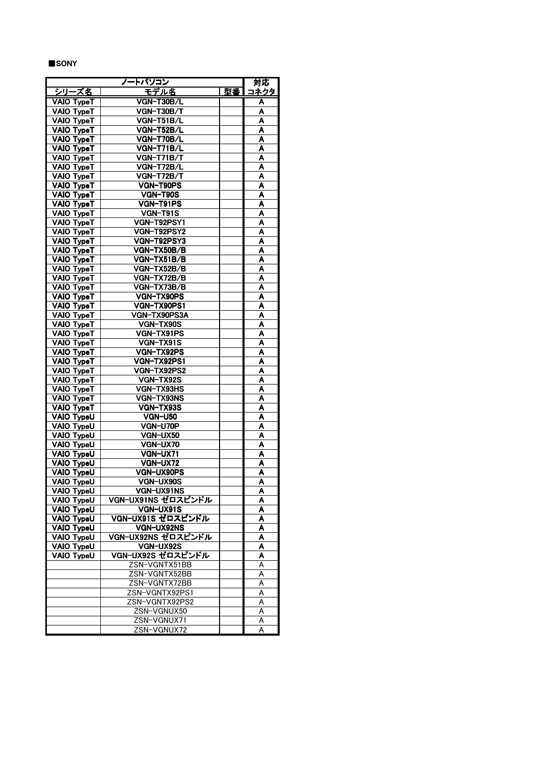## ■SONY

|                   | トバ <u>ソコン</u><br>7- |    | 対応           |
|-------------------|---------------------|----|--------------|
| シリーズ名             | <u>モデル名</u>         | 型番 | <u> 1ネクタ</u> |
| <b>VAIO TypeT</b> | VGN-T30B/L          |    | ٨            |
| VAIO TypeT        | VGN-T30B/T          |    | ٨            |
| VAIO TypeT        | VGN-T51B/L          |    | A            |
| VAIO TypeT        | VGN-T52B/L          |    | Α            |
| VAIO TypeT        | VGN-T70B/L          |    | A            |
| VAIO TypeT        | VGN-T71B/L          |    | Α            |
| VAIO TypeT        | VGN-T71B/T          |    | A            |
| VAIO TypeT        | VGN-T72B/L          |    | A            |
| VAIO TypeT        | VGN-T72B/T          |    | Α            |
| VAIO TypeT        | VGN-T90PS           |    | A            |
| VAIO TypeT        | VGN-T90S            |    | Α            |
| VAIO TypeT        | VGN-T91PS           |    | Α            |
| VAIO TypeT        | VGN-T91S            |    | Α            |
| VAIO TypeT        | VGN-T92PSY1         |    | A            |
| VAIO TypeT        | VGN-T92PSY2         |    | Α            |
| VAIO TypeT        | VGN-T92PSY3         |    | Α            |
| VAIO TypeT        | VGN-TX50B/B         |    | A            |
| VAIO TypeT        | VGN-TX51B/B         |    | A            |
| VAIO TypeT        | VGN-TX52B/B         |    | A            |
| VAIO TypeT        | VGN-TX72B/B         |    | ٨            |
| VAIO TypeT        | VGN-TX73B/B         |    | Α            |
| VAIO TypeT        | VGN-TX90PS          |    | Α            |
| VAIO TypeT        | VGN-TX90PS1         |    | A            |
| VAIO TypeT        | VGN-TX90PS3A        |    | A            |
| VAIO TypeT        | VGN-TX90S           |    | ٨            |
| VAIO TypeT        | VGN-TX91PS          |    | Α            |
| VAIO TypeT        | VGN-TX91S           |    | A            |
| VAIO TypeT        | VGN-TX92PS          |    | A            |
| VAIO TypeT        | VGN-TX92PS1         |    | A            |
| VAIO TypeT        | VGN-TX92PS2         |    | Α            |
| VAIO TypeT        | VGN-TX92S           |    | Α            |
| VAIO TypeT        | VGN-TX93HS          |    | A            |
| VAIO TypeT        | VGN-TX93NS          |    | A            |
| VAIO TypeT        | VGN-TX93S           |    | A            |
| VAIO TypeU        | <b>VGN-U50</b>      |    | A            |
| VAIO TypeU        | VGN-U70P            |    | Α            |
| VAIO TypeU        | VGN-UX50            |    | A            |
| <b>VAIO TypeU</b> | VGN-UX70            |    | A            |
| VAIO TypeU        | VGN-UX71            |    | A            |
| VAIO TypeU        | VGN-UX72            |    | A            |
| VAIO TypeU        | VGN-UX90PS          |    | A            |
| VAIO TypeU        | <b>VGN-UX90S</b>    |    | A            |
| VAIO TypeU        | VGN-UX91NS          |    | Α            |
| VAIO TypeU        | VGN-UX91NS ゼロスピンドル  |    | ٨            |
| VAIO TypeU        | VGN-UX91S           |    | Α            |
| VAIO TypeU        | VGN-UX91S ゼロスピンドル   |    | A            |
| VAIO TypeU        | VGN-UX92NS          |    | A            |
| VAIO TypeU        | VGN-UX92NS ゼロスピンドル  |    | A            |
| VAIO TypeU        | VGN-UX92S           |    | A            |
| <b>VAIO TypeU</b> | VGN-UX92S ゼロスピンドル   |    | ٨            |
|                   | ZSN-VGNTX51BB       |    | A            |
|                   | ZSN-VGNTX52BB       |    | Α            |
|                   | ZSN-VGNTX72BB       |    | A            |
|                   | ZSN-VGNTX92PS1      |    | A            |
|                   | ZSN-VGNTX92PS2      |    | A            |
|                   | ZSN-VGNUX50         |    | А            |
|                   | ZSN-VGNUX71         |    | Α            |
|                   | ZSN-VGNUX72         |    | A            |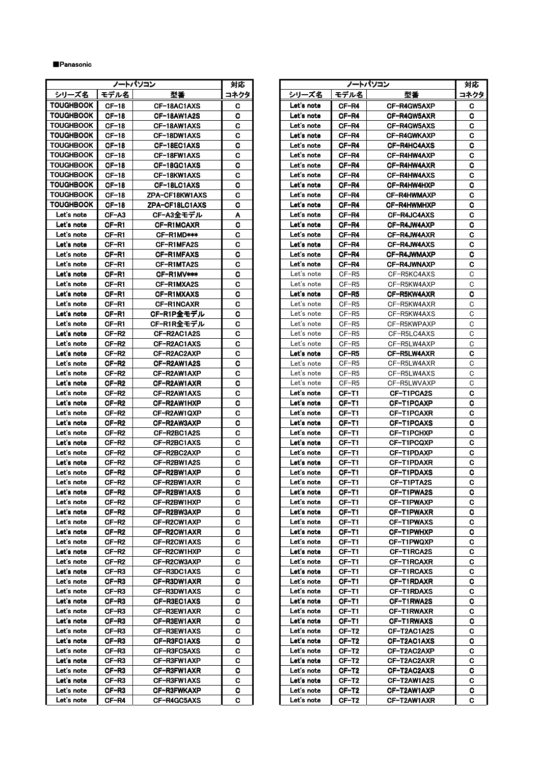# ■Panasonic

|                  |                    | ノートパソコン                    | 対応     | ノートパソコン    |                   |                            | 対风      |
|------------------|--------------------|----------------------------|--------|------------|-------------------|----------------------------|---------|
| シリーズ名            | モデル名               | 型番                         | コネクタ   | シリーズ名      | モデル名              | 型番                         | コネク     |
| <b>TOUGHBOOK</b> | $CF-18$            | CF-18AC1AXS                | C      | Let's note | CF-R4             | CF-R4GW5AXP                | C.      |
| <b>TOUGHBOOK</b> | $CF-18$            | CF-18AW1A2S                | C      | Let's note | CF-R4             | CF-R4GW5AXR                | C.      |
| <b>TOUGHBOOK</b> | $CF-18$            | CF-18AW1AXS                | c      | Let's note | CF-R4             | CF-R4GW5AXS                | C       |
| <b>TOUGHBOOK</b> | $CF-18$            | CF-18DW1AXS                | C      | Let's note | CF-R4             | CF-R4GWKAXP                |         |
| <b>TOUGHBOOK</b> | $CF-18$            |                            | C      | Let's note | CF-R4             |                            | C.<br>C |
| <b>TOUGHBOOK</b> |                    | CF-18EC1AXS                |        | Let's note |                   | CF-R4HC4AXS                | C.      |
| <b>TOUGHBOOK</b> | $CF-18$            | CF-18FW1AXS                | C<br>С | Let's note | CF-R4             | CF-R4HW4AXP                |         |
| <b>TOUGHBOOK</b> | $CF-18$<br>$CF-18$ | CF-18GC1AXS<br>CF-18KW1AXS | C      | Let's note | CF-R4<br>CF-R4    | CF-R4HW4AXR<br>CF-R4HW4AXS | C.<br>C |
| <b>TOUGHBOOK</b> | $CF-18$            | CF-18LC1AXS                | C      | Let's note | CF-R4             | CF-R4HW4HXP                | C       |
| <b>TOUGHBOOK</b> | $CF-18$            | ZPA-CF18KW1AXS             | C      | Let's note | CF-R4             | CF-R4HWMAXP                | C       |
| <b>TOUGHBOOK</b> | $CF-18$            | ZPA-CF18LC1AXS             | C      | Let's note | CF-R4             | CF-R4HWMHXP                | C.      |
| Let's note       | $CF- A3$           | CF-A3全モデル                  | A      | Let's note | CF-R4             | CF-R4JC4AXS                | C.      |
| Let's note       | CF-R1              | CF-R1MCAXR                 | C      | Let's note | CF-R4             | CF-R4JW4AXP                | C.      |
| Let's note       | CF-R1              | CF-RIMD***                 | C      | Let's note | CF-R4             | CF-R4JW4AXR                | C.      |
| Let's note       | CF-R1              | CF-R1MFA2S                 | C      | Let's note | CF-R4             | CF-R4JW4AXS                | C       |
| Let's note       | CF-R1              | CF-R1MFAXS                 | C      | Let's note | CF-R4             | CF-R4JWMAXP                | C       |
| Let's note       | CF-R1              | CF-R1MTA2S                 | C      | Let's note | CF-R4             | CF-R4JWNAXP                | C       |
| Let's note       | CF-R1              | CF-R1MV***                 | C      | Let's note | $CF-R5$           | CF-R5KC4AXS                | C       |
| Let's note       | CF-R1              | CF-R1MXA2S                 | C      | Let's note | CF-R5             | CF-R5KW4AXP                | C       |
| Let's note       | CF-R1              | CF-R1MXAXS                 | C      | Let's note | CF-R5             | CF-R5KW4AXR                | C.      |
| Let's note       | CF-R1              | <b>CF-RINCAXR</b>          | C      | Let's note | CF-R <sub>5</sub> | CF-R5KW4AXR                | C       |
| Let's note       | CF-R1              | CF-R1P全モデル                 | C      | Let's note | CF-R5             | CF-R5KW4AXS                | C       |
| Let's note       | CF-R1              | CF-R1R全モデル                 | C      | Let's note | CF-R <sub>5</sub> | CF-R5KWPAXP                | C       |
| Let's note       | CF-R2              | CF-R2AC1A2S                | C      | Let's note | CF-R5             | CF-R5LC4AXS                | C       |
| Let's note       | CF-R2              | CF-R2AC1AXS                | C      | Let's note | CF-R5             | CF-R5LW4AXP                | C       |
| Let's note       | CF-R2              | CF-R2AC2AXP                | C      | Let's note | CF-R5             | CF-R5LW4AXR                | C       |
| Let's note       | CF-R2              | CF-R2AW1A2S                | C      | Let's note | $CF-R5$           | CF-R5LW4AXR                | C       |
| Let's note       | CF-R2              | CF-R2AW1AXP                | C      | Let's note | $CF-R5$           | CF-R5LW4AXS                | C       |
| Let's note       | CF-R2              | CF-R2AW1AXR                | C      | Let's note | $CF-R5$           | CF-R5LWVAXP                | C       |
| Let's note       | CF-R2              | CF-R2AW1AXS                | C      | Let's note | CF-T1             | CF-T1PCA2S                 | C.      |
| Let's note       | CF-R2              | CF-R2AW1HXP                | C      | Let's note | CF-T1             | CF-T1PCAXP                 | C       |
| Let's note       | CF-R2              | CF-R2AW1QXP                | C      | Let's note | CF-T1             | CF-T1PCAXR                 | C       |
| Let's note       | CF-R2              | CF-R2AW3AXP                | C      | Let's note | CF-T1             | CF-T1PCAXS                 | C       |
| Let's note       | CF-R2              | CF-R2BC1A2S                | C      | Let's note | CF-T1             | CF-T1PCHXP                 | C       |
| Let's note       | CF-R2              | CF-R2BC1AXS                | C      | Let's note | CF-T1             | CF-T1PCQXP                 | C.      |
| Let's note       | CF-R2              | CF-R2BC2AXP                | C      | Let's note | CF-T1             | CF-T1PDAXP                 | C.      |
| Let's note       | $CF-R2$            | CF-R2BW1A2S                | C      | Let's note | CF-T1             | CF-T1PDAXR                 | C.      |
| Let's note       | CF-R2              | CF-R2BW1AXP                | C      | Let's note | CF-T1             | CF-T1PDAXS                 | C       |
| Let's note       | CF-R <sub>2</sub>  | CF-R2BW1AXR                | C      | Let's note | CF-T1             | CF-T1PTA2S                 | C.      |
| Let's note       | CF-R2              | CF-R2BW1AXS                | C      | Let's note | CF-T1             | CF-T1PWA2S                 | C       |
| Let's note       | CF-R2              | CF-R2BW1HXP                | C      | Let's note | CF-T1             | CF-T1PWAXP                 | C.      |
| Let's note       | CF-R2              | CF-R2BW3AXP                | С      | Let's note | CF-T1             | CF-T1PWAXR                 | C.      |
| Let's note       | CF-R2              | CF-R2CW1AXP                | C      | Let's note | CF-T1             | CF-T1PWAXS                 | C       |
| Let's note       | CF-R2              | CF-R2CW1AXR                | C      | Let's note | CF-T1             | CF-T1PWHXP                 | C       |
| Let's note       | CF-R2              | CF-R2CW1AXS                | C      | Let's note | CF-T1             | CF-T1PWQXP                 | C       |
| Let's note       | CF-R2              | CF-R2CW1HXP                | С      | Let's note | CF-T1             | CF-T1RCA2S                 | C       |
| Let's note       | CF-R2              | CF-R2CW3AXP                | C      | Let's note | CF-T1             | CF-T1RCAXR                 | C.      |
| Let's note       | CF-R3              | CF-R3DC1AXS                | С      | Let's note | CF-T1             | CF-T1RCAXS                 | C       |
| Let's note       | CF-R3              | CF-R3DW1AXR                | С      | Let's note | CF-T1             | CF-T1RDAXR                 | C.      |
| Let's note       | CF-R3              | CF-R3DW1AXS                | C.     | Let's note | CF-T1             | <b>CF-T1RDAXS</b>          | C       |
| Let's note       | CF-R3              | CF-R3EC1AXS                | C      | Let's note | CF-T1             | CF-T1RWA2S                 | C       |
| Let's note       | CF-R3              | CF-R3EW1AXR                | C      | Let's note | CF-T1             | CF-T1RWAXR                 | C.      |
| Let's note       | CF-R3              | CF-R3EW1AXR                | C      | Let's note | CF-T1             | <b>CF-T1RWAXS</b>          | C.      |
| Let's note       | CF-R3              | CF-R3EW1AXS                | С      | Let's note | CF-T2             | CF-T2AC1A2S                | C       |
| Let's note       | CF-R3              | CF-R3FC1AXS                | C      | Let's note | CF-T2             | CF-T2AC1AXS                | C.      |
| Let's note       | CF-R3              | CF-R3FC5AXS                | С      | Let's note | CF-T2             | CF-T2AC2AXP                | C.      |
| Let's note       | CF-R3              | CF-R3FW1AXP                | С      | Let's note | CF-T2             | CF-T2AC2AXR                | C.      |
| Let's note       | CF-R3              | CF-R3FW1AXR                | C      | Let's note | CF-T2             | CF-T2AC2AXS                | C.      |
| Let's note       | CF-R3              | CF-R3FW1AXS                | C      | Let's note | CF-T2             | CF-T2AW1A2S                | C.      |
| Let's note       | CF-R3              | CF-R3FWKAXP                | С      | Let's note | CF-T2             | CF-T2AW1AXP                | C.      |
| Let's note       | CF-R4              | CF-R4GC5AXS                | C      | Let's note | CF-T2             | CF-T2AW1AXR                | C.      |

| ノートパソコン<br>対応            |                            |                                 |         | ノートパソコン                  | 対応               |                            |             |
|--------------------------|----------------------------|---------------------------------|---------|--------------------------|------------------|----------------------------|-------------|
| シリーズ名                    | モデル名                       | 型番                              | コネクタ    | シリーズ名                    | モデル名             | 型番                         | コネクタ        |
| <b>OUGHBOOK</b>          | $CF-18$                    | CF-18AC1AXS                     | C       | Let's note               | CF-R4            | CF-R4GW5AXP                | С           |
| OUGHBOOK                 | $CF-18$                    | CF-18AW1A2S                     | C.      | Let's note               | CF-R4            | CF-R4GW5AXR                | C           |
| OUGHBOOK                 | $CF-18$                    | CF-18AW1AXS                     | C       | Let's note               | CF-R4            | CF-R4GW5AXS                | C           |
| <b>OUGHBOOK</b>          | $CF-18$                    | CF-18DW1AXS                     | C       | Let's note               | CF-R4            | CF-R4GWKAXP                | C           |
| <b>OUGHBOOK</b>          | $CF-18$                    | CF-18EC1AXS                     | C       | Let's note               | CF-R4            | CF-R4HC4AXS                | C           |
| OUGHBOOK                 | $CF-18$                    | CF-18FW1AXS                     | C       | Let's note               | CF-R4            | CF-R4HW4AXP                | С           |
| <b>OUGHBOOK</b>          | $CF-18$                    | CF-18GC1AXS                     | c       | Let's note               | CF-R4            | CF-R4HW4AXR                | C           |
| OUGHBOOK                 | $CF-18$                    | CF-18KW1AXS                     | С       | Let's note               | CF-R4            | CF-R4HW4AXS                | C           |
| OUGHBOOK                 | $CF-18$                    | CF-18LC1AXS                     | C       | Let's note               | CF-R4            | CF-R4HW4HXP                | C           |
| <b>OUGHBOOK</b>          | $CF-18$                    | ZPA-CF18KW1AXS                  | C       | Let's note               | CF-R4            | CF-R4HWMAXP                | C           |
| OUGHBOOK                 | $CF-18$                    | ZPA-CF18LC1AXS                  | C       | Let's note               | CF-R4            | CF-R4HWMHXP                | C           |
| Let's note               | $CF- A3$                   | CF-A3全モデル                       | A       | Let's note               | CF-R4            | CF-R4JC4AXS                | $\mathbf C$ |
| Let's note               | CF-R1                      | CF-R1MCAXR                      | C.      | Let's note               | CF-R4            | CF-R4JW4AXP                | C           |
| Let's note               | CF-R1                      | CF-R1MD***                      | C       | Let's note               | CF-R4            | CF-R4JW4AXR                | C           |
| Let's note               | CF-R1                      | CF-R1MFA2S                      | C       | Let's note               | CF-R4            | CF-R4JW4AXS                | C           |
| Let's note               | CF-R1                      | CF-R1MFAXS                      | C       | Let's note               | CF-R4            | CF-R4JWMAXP                | C           |
| Let's note               | CF-R1                      | CF-R1MTA2S                      | C       | Let's note               | CF-R4            | CF-R4JWNAXP                | $\mathbf C$ |
| Let's note               | CF-R1                      | CF-R1MV***                      | C       | Let's note               | $CF-R5$          | CF-R5KC4AXS                | C           |
| Let's note               | CF-R1                      | CF-R1MXA2S                      | С       | Let's note<br>Let's note | CF-R5            | CF-R5KW4AXP                | С           |
| Let's note<br>Let's note | CF-R1                      | CF-R1MXAXS<br><b>CF-RINCAXR</b> | C<br>C. | Let's note               | CF-R5            | CF-R5KW4AXR                | C<br>С      |
| Let's note               | CF-R1<br>CF-R1             | CF-R1P全モデル                      | C       | Let's note               | $CF-R5$<br>CF-R5 | CF-R5KW4AXR<br>CF-R5KW4AXS | C           |
| Let's note               | CF-R1                      | CF-R1R全モデル                      | C       | Let's note               | $CF-R5$          | CF-R5KWPAXP                | C           |
| Let's note               | CF-R2                      | CF-R2AC1A2S                     | C       | Let's note               | CF-R5            | CF-R5LC4AXS                | С           |
| Let's note               | CF-R2                      | CF-R2AC1AXS                     | C       | Let's note               | $CF-R5$          | CF-R5LW4AXP                | C           |
| Let's note               | CF-R2                      | CF-R2AC2AXP                     | C       | Let's note               | CF-R5            | CF-R5LW4AXR                | C           |
| Let's note               | CF-R2                      | CF-R2AW1A2S                     | C       | Let's note               | CF-R5            | CF-R5LW4AXR                | C           |
| Let's note               | CF-R <sub>2</sub>          | CF-R2AW1AXP                     | C       | Let's note               | $CF-R5$          | CF-R5LW4AXS                | C           |
| Let's note               | CF-R <sub>2</sub>          | CF-R2AW1AXR                     | C.      | Let's note               | $CF-R5$          | CF-R5LWVAXP                | C           |
| Let's note               | CF-R2                      | CF-R2AW1AXS                     | C       | Let's note               | CF-T1            | CF-T1PCA2S                 | C           |
| Let's note               | CF-R2                      | CF-R2AW1HXP                     | C       | Let's note               | CF-T1            | CF-T1PCAXP                 | C           |
| Let's note               | CF-R2                      | CF-R2AW1QXP                     | C       | Let's note               | CF-T1            | CF-T1PCAXR                 | C           |
| Let's note               | CF-R2                      | CF-R2AW3AXP                     | C       | Let's note               | CF-T1            | CF-T1PCAXS                 | C           |
| Let's note               | CF-R2                      | CF-R2BC1A2S                     | C       | Let's note               | CF-T1            | CF-T1PCHXP                 | C           |
| Let's note               | CF-R2                      | CF-R2BC1AXS                     | C       | Let's note               | CF-T1            | <b>CF-T1PCQXP</b>          | C           |
| Let's note               | CF-R2                      | CF-R2BC2AXP                     | C       | Let's note               | CF-T1            | CF-T1PDAXP                 | C           |
| Let's note               | CF-R <sub>2</sub>          | CF-R2BW1A2S                     | C       | Let's note               | CF-T1            | CF-T1PDAXR                 | C           |
| Let's note               | CF-R2                      | CF-R2BW1AXP                     | C       | Let's note               | CF-T1            | CF-T1PDAXS                 | C           |
| Let's note               | $CF-R2$                    | CF-R2BW1AXR                     | C       | Let's note               | CF-T1            | CF-T1PTA2S                 | C           |
| Let's note               | CF-R2                      | CF-R2BW1AXS                     | C       | Let's note               | CF-T1            | CF-T1PWA2S                 | C           |
| Let's note               | CF-R2                      | CF-R2BW1HXP                     | C.      | Let's note               | CF-T1            | CF-T1PWAXP                 | C.          |
| Let's note               | CF-R2                      | CF-R2BW3AXP                     | C.      | Let's note               | CF-T1            | CF-T1PWAXR                 | C           |
| Let's note<br>Let's note | CF-R2                      | <b>CF-R2CW1AXP</b>              | C       | Let's note               | CF-T1            | CF-T1PWAXS                 | C           |
|                          | CF-R2                      | CF-R2CW1AXR                     | C       | Let's note               | CF-T1            | CF-T1PWHXP                 | C           |
| Let's note<br>Let's note | CF-R <sub>2</sub><br>CF-R2 | CF-R2CW1AXS<br>CF-R2CW1HXP      | C<br>c  | Let's note<br>Let's note | CF-T1<br>CF-T1   | CF-T1PWQXP<br>CF-T1RCA2S   | С<br>C      |
| Let's note               | CF-R2                      | CF-R2CW3AXP                     | C.      | Let's note               | CF-T1            | CF-T1RCAXR                 | С           |
| Let's note               | CF-R3                      | CF-R3DC1AXS                     | c       | Let's note               | CF-T1            | CF-T1RCAXS                 | C           |
| Let's note               | CF-R3                      | CF-R3DW1AXR                     | c       | Let's note               | CF-T1            | CF-T1RDAXR                 | C           |
| Let's note               | CF-R3                      | CF-R3DW1AXS                     | c       | Let's note               | CF-T1            | CF-T1RDAXS                 | C           |
| Let's note               | CF-R3                      | CF-R3EC1AXS                     | C       | Let's note               | CF-T1            | <b>CF-T1RWA2S</b>          | C           |
| Let's note               | CF-R3                      | CF-R3EW1AXR                     | C.      | Let's note               | CF-T1            | CF-T1RWAXR                 | C           |
| Let's note               | CF-R3                      | CF-R3EW1AXR                     | C.      | Let's note               | CF-T1            | <b>CF-TIRWAXS</b>          | C           |
| Let's note               | CF-R3                      | CF-R3EW1AXS                     | c       | Let's note               | CF-T2            | CF-T2AC1A2S                | c           |
| Let's note               | CF-R3                      | CF-R3FC1AXS                     | c       | Let's note               | CF-T2            | CF-T2AC1AXS                | C           |
| Let's note               | CF-R3                      | CF-R3FC5AXS                     | c       | Let's note               | CF-T2            | CF-T2AC2AXP                | C           |
| Let's note               | CF-R3                      | CF-R3FW1AXP                     | C       | Let's note               | CF-T2            | CF-T2AC2AXR                | c           |
| Let's note               | CF-R3                      | CF-R3FW1AXR                     | c       | Let's note               | CF-T2            | CF-T2AC2AXS                | C           |
| Let's note               | CF-R3                      | CF-R3FW1AXS                     | C.      | Let's note               | CF-T2            | CF-T2AW1A2S                | C           |
| Let's note               | CF-R3                      | CF-R3FWKAXP                     | C       | Let's note               | CF-T2            | CF-T2AW1AXP                | C           |
| Let's note               | CF-R4                      | CF-R4GC5AXS                     | C       | Let's note               | CF-T2            | CF-T2AW1AXR                | C           |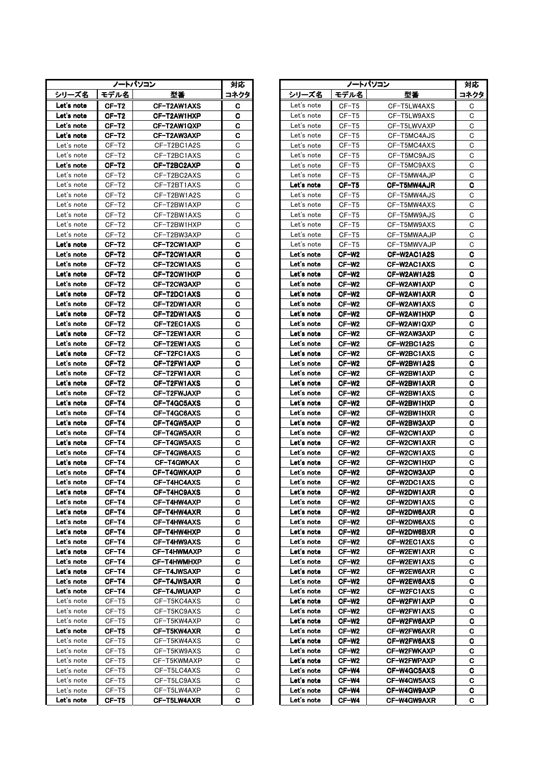| ノートパソコン    |                |                            |      | ノートパソコン<br>対応 |            |                   |                    | 対応      |  |
|------------|----------------|----------------------------|------|---------------|------------|-------------------|--------------------|---------|--|
| シリーズ名      | モデル名           | 型番                         | コネクタ |               | シリーズ名      | モデル名              | 型番                 | コネク     |  |
| Let's note | CF-T2          | CF-T2AW1AXS                | c    |               | Let's note | CF-T5             | CF-T5LW4AXS        | C       |  |
| Let's note | CF-T2          | CF-T2AW1HXP                | C    |               | Let's note | CF-T5             | CF-T5LW9AXS        | C       |  |
| Let's note | CF-T2          | CF-T2AW1QXP                | C    |               | Let's note | $CF-T5$           | CF-T5LWVAXP        | C       |  |
| Let's note | CF-T2          | CF-T2AW3AXP                | C    |               | Let's note | CF-T5             | CF-T5MC4AJS        | C       |  |
| Let's note | CF-T2          | CF-T2BC1A2S                | C    |               | Let's note | CF-T5             | CF-T5MC4AXS        | C       |  |
| Let's note | CF-T2          | CF-T2BC1AXS                | C    |               | Let's note | CF-T5             | CF-T5MC9AJS        | C       |  |
| Let's note | CF-T2          | CF-T2BC2AXP                | C    |               | Let's note | $CF-T5$           | CF-T5MC9AXS        | C       |  |
| Let's note | CF-T2          | CF-T2BC2AXS                | C    |               | Let's note | $CF-T5$           | CF-T5MW4AJP        | C       |  |
| Let's note | CF-T2          | CF-T2BT1AXS                | C    |               | Let's note | CF-T5             | <b>CF-T5MW4AJR</b> | C       |  |
| Let's note | CF-T2          | CF-T2BW1A2S                | C    |               | Let's note | CF-T5             | CF-T5MW4AJS        | C       |  |
| Let's note | CF-T2          | CF-T2BW1AXP                | С    |               | Let's note | $CF-T5$           | CF-T5MW4AXS        | C       |  |
| Let's note | CF-T2          | CF-T2BW1AXS                | C    |               | Let's note | CF-T5             | CF-T5MW9AJS        | C       |  |
| Let's note | CF-T2          | CF-T2BW1HXP                | C    |               | Let's note | CF-T5             | CF-T5MW9AXS        | C       |  |
| Let's note | $CF- T2$       | CF-T2BW3AXP                | С    |               | Let's note | $CF-T5$           | CF-T5MWAAJP        | C       |  |
| Let's note | CF-T2          | CF-T2CW1AXP                | C    |               | Let's note | CF-T5             | CF-T5MWVAJP        | C       |  |
| Let's note | CF-T2          | CF-T2CW1AXR                | C    |               | Let's note | CF-W2             | CF-W2AC1A2S        | C       |  |
| Let's note | CF-T2          | CF-T2CW1AXS                | C    |               | Let's note | CF-W2             | CF-W2AC1AXS        | C       |  |
| Let's note | CF-T2          | CF-T2CW1HXP                | C    |               | Let's note | CF-W2             | CF-W2AW1A2S        | C.      |  |
| Let's note | CF-T2          | CF-T2CW3AXP                | C    |               | Let's note | CF-W2             | CF-W2AW1AXP        | C.      |  |
| Let's note | $CF-T2$        | CF-T2DC1AXS                | C    |               | Let's note | CF-W <sub>2</sub> | CF-W2AW1AXR        | C       |  |
| Let's note | $CF-T2$        | CF-T2DW1AXR                | C    |               | Let's note | $CF-W2$           | CF-W2AW1AXS        | C.      |  |
| Let's note | CF-T2          | CF-T2DW1AXS                | C    |               | Let's note | CF-W2             | CF-W2AW1HXP        | C.      |  |
| Let's note | CF-T2          | CF-T2EC1AXS                | C    |               | Let's note | CF-W2             | CF-W2AW1QXP        | C       |  |
| Let's note | CF-T2          | CF-T2EW1AXR                | C    |               | Let's note | CF-W2             | CF-W2AW3AXP        | C.      |  |
| Let's note | CF-T2          | CF-T2EW1AXS                | C    |               | Let's note | CF-W2             | CF-W2BC1A2S        | C.      |  |
| Let's note | CF-T2          | CF-T2FC1AXS                | C    |               | Let's note | CF-W2             | CF-W2BC1AXS        | C       |  |
| Let's note | CF-T2          | CF-T2FW1AXP                | C    |               | Let's note | CF-W2             | CF-W2BW1A2S        | C       |  |
| Let's note | CF-T2          | CF-T2FW1AXR                | C    |               | Let's note | CF-W <sub>2</sub> | CF-W2BW1AXP        | C.      |  |
| Let's note | CF-T2          | CF-T2FW1AXS                | C    |               | Let's note | CF-W <sub>2</sub> | CF-W2BW1AXR        | C.      |  |
| Let's note | CF-T2          | CF-T2FWJAXP                | C    |               | Let's note | CF-W2             | CF-W2BW1AXS        | C.      |  |
| Let's note | CF-T4          | CF-T4GC5AXS                | C    |               | Let's note | CF-W2             | CF-W2BW1HXP        | C.      |  |
| Let's note | CF-T4          | CF-T4GC6AXS                | C    |               | Let's note | CF-W2             | CF-W2BW1HXR        | C.      |  |
| Let's note | CF-T4          | CF-T4GW5AXP                | C    |               | Let's note | CF-W2             | CF-W2BW3AXP        | C       |  |
| Let's note | CF-T4          | CF-T4GW5AXR                | C    |               | Let's note | CF-W2             | CF-W2CW1AXP        | C.      |  |
| Let's note | CF-T4          | CF-T4GW5AXS                | C    |               | Let's note | CF-W2             | CF-W2CW1AXR        | C.      |  |
| Let's note | CF-T4          | CF-T4GW6AXS                | C    |               | Let's note | $CF-W2$           | CF-W2CW1AXS        | C.      |  |
| Let's note | CF-T4          | <b>CF-T4GWKAX</b>          | C    |               | Let's note | $CF-W2$           | CF-W2CW1HXP        | C.      |  |
| Let's note | CF-T4          | CF-T4GWKAXP                | C    |               | Let's note | CF-W <sub>2</sub> | CF-W2CW3AXP        | C       |  |
| Let's note | CF-T4          | CF-T4HC4AXS                | C    |               | Let's note | CF-W2             | CF-W2DC1AXS        | C.      |  |
| Let's note | CF-T4          | CF-T4HC9AXS                | C    |               | Let's note | CF-W2             | CF-W2DW1AXR        | C       |  |
| Let's note | CF-T4          | CF-T4HW4AXP                | C    |               | Let's note | CF-W2             | <b>CF-W2DW1AXS</b> | C.      |  |
| Let's note | CF-T4          | CF-T4HW4AXR                | C    |               | Let's note | CF-W2             | CF-W2DW6AXR        | C.      |  |
| Let's note | CF-T4          | CF-T4HW4AXS                | C    |               | Let's note | CF-W <sub>2</sub> | CF-W2DW6AXS        | C       |  |
| Let's note | CF-T4          | CF-T4HW4HXP                | C    |               | Let's note | CF-W2             | CF-W2DW6BXR        | C       |  |
| Let's note | CF-T4          | CF-T4HW9AXS                | С    |               | Let's note | CF-W2             | CF-W2EC1AXS        | C       |  |
| Let's note | CF-T4          | CF-T4HWMAXP                | C    |               | Let's note | CF-W2             | CF-W2EW1AXR        | C.      |  |
| Let's note | CF-T4          | CF-T4HWMHXP                | C    |               | Let's note | CF-W2             | <b>CF-W2EW1AXS</b> | C       |  |
| Let's note | CF-T4          | <b>CF-T4JWSAXP</b>         | C    |               | Let's note | CF-W2             | CF-W2EW6AXR        | C       |  |
| Let's note | CF-T4          | <b>CF-T4JWSAXR</b>         | c    |               | Let's note | CF-W <sub>2</sub> | CF-W2EW6AXS        | C.      |  |
| Let's note | CF-T4          | CF-T4JWUAXP                | C.   |               | Let's note | CF-W2             | <b>CF-W2FC1AXS</b> | C       |  |
| Let's note | CF-T5          | CF-T5KC4AXS                | С    |               | Let's note | CF-W2             | CF-W2FW1AXP        | C       |  |
| Let's note | CF-T5          |                            | С    |               | Let's note | CF-W2             | <b>CF-W2FW1AXS</b> | C.      |  |
| Let's note |                | CF-T5KC9AXS                | С    |               | Let's note | CF-W <sub>2</sub> |                    |         |  |
| Let's note | CF-T5<br>CF-T5 | CF-T5KW4AXP                | C    |               | Let's note | CF-W2             | CF-W2FW6AXP        | C.<br>C |  |
| Let's note | CF-T5          | CF-T5KW4AXR<br>CF-T5KW4AXS | C    |               | Let's note | CF-W2             | CF-W2FW6AXR        | C       |  |
| Let's note | CF-T5          |                            | С    |               | Let's note | CF-W2             | CF-W2FW6AXS        |         |  |
| Let's note |                | CF-T5KW9AXS<br>CF-T5KWMAXP | С    |               | Let's note |                   | CF-W2FWKAXP        | C.      |  |
| Let's note | CF-T5          |                            | С    |               |            | CF-W2             | CF-W2FWPAXP        | C.      |  |
| Let's note | CF-T5          | CF-T5LC4AXS                | С    |               | Let's note | CF-W4             | CF-W4GC5AXS        | C.      |  |
| Let's note | CF-T5          | CF-T5LC9AXS                |      |               | Let's note | CF-W4             | CF-W4GW5AXS        | C.      |  |
|            | CF-T5          | CF-T5LW4AXP                | С    |               | Let's note | CF-W4             | CF-W4GW9AXP        | C.      |  |
| Let's note | CF-T5          | CF-T5LW4AXR                | C    |               | Let's note | CF-W4             | CF-W4GW9AXR        | C.      |  |

|                          | ノートパソコン        |                            | 対応     | ノートパソコン                  |                   |                            | 対応          |
|--------------------------|----------------|----------------------------|--------|--------------------------|-------------------|----------------------------|-------------|
| シリーズ名                    | モデル名           | 型番                         | コネクタ   | シリーズ名                    | モデル名              | 型番                         | コネクタ        |
| Let's note               | CF-T2          | CF-T2AW1AXS                | C      | Let's note               | $CF-T5$           | CF-T5LW4AXS                | С           |
| Let's note               | CF-T2          | CF-T2AW1HXP                | C.     | Let's note               | $CF-T5$           | CF-T5LW9AXS                | C           |
| Let's note               | CF-T2          | CF-T2AW1QXP                | C      | Let's note               | $CF-T5$           | CF-T5LWVAXP                | C           |
| Let's note               | CF-T2          | CF-T2AW3AXP                | C      | Let's note               | $CF-T5$           | CF-T5MC4AJS                | C           |
| Let's note               | $CF-T2$        | CF-T2BC1A2S                | C      | Let's note               | $CF-T5$           | CF-T5MC4AXS                | С           |
| Let's note               | CF-T2          | CF-T2BC1AXS                | С      | Let's note               | $CF-T5$           | CF-T5MC9AJS                | С           |
| Let's note               | CF-T2          | CF-T2BC2AXP                | С      | Let's note               | $CF-T5$           | CF-T5MC9AXS                | C           |
| Let's note               | CF-T2          | CF-T2BC2AXS                | C      | Let's note               | CF-T5             | CF-T5MW4AJP                | С           |
| Let's note               | CF-T2          | CF-T2BT1AXS                | C      | Let's note               | CF-T5             | CF-T5MW4AJR                | C           |
| Let's note               | $CF-T2$        | CF-T2BW1A2S                | С      | Let's note               | $CF-T5$           | CF-T5MW4AJS                | С           |
| Let's note               | $CF-T2$        | CF-T2BW1AXP                | С      | Let's note               | CF-T5             | CF-T5MW4AXS                | С           |
| Let's note               | CF-T2          | CF-T2BW1AXS                | C      | Let's note               | CF-T5             | CF-T5MW9AJS                | C           |
| Let's note               | CF-T2          | CF-T2BW1HXP                | C      | Let's note               | CF-T5             | CF-T5MW9AXS                | С           |
| Let's note               | CF-T2          | CF-T2BW3AXP                | С      | Let's note               | $CF-T5$           | CF-T5MWAAJP                | C           |
| Let's note               | CF-T2          | CF-T2CW1AXP                | C      | Let's note               | CF-T5             | CF-T5MWVAJP                | $\mathbf C$ |
| Let's note               | CF-T2          | CF-T2CW1AXR                | C      | Let's note               | CF-W <sub>2</sub> | CF-W2AC1A2S                | C           |
| Let's note               | CF-T2          | CF-T2CW1AXS                | C      | Let's note               | CF-W2             | CF-W2AC1AXS                | C           |
| Let's note               | CF-T2          | CF-T2CW1HXP                | С      | Let's note               | CF-W2             | CF-W2AW1A2S                | C           |
| Let's note               | CF-T2          | CF-T2CW3AXP                | C      | Let's note               | CF-W2             | CF-W2AW1AXP                | C           |
| Let's note               | CF-T2          | CF-T2DC1AXS                | C      | Let's note               | $CF-W2$           | CF-W2AW1AXR                | С           |
| Let's note               | CF-T2          | CF-T2DW1AXR                | C      | Let's note               | CF-W <sub>2</sub> | CF-W2AW1AXS                | С           |
| Let's note               | CF-T2          | CF-T2DW1AXS                | C      | Let's note               | $CF-W2$           | CF-W2AW1HXP                | C           |
| Let's note               | CF-T2          | CF-T2EC1AXS                | С      | Let's note               | CF-W2             | CF-W2AW1QXP                | C           |
| Let's note               | CF-T2          | CF-T2EW1AXR                | C      | Let's note               | CF-W2             | CF-W2AW3AXP                | C           |
| Let's note               | CF-T2          | CF-T2EW1AXS                | C      | Let's note               | CF-W2             | CF-W2BC1A2S                | C           |
| Let's note               | CF-T2          | CF-T2FC1AXS                | C      | Let's note               | CF-W2             | CF-W2BC1AXS                | C           |
| Let's note               | CF-T2          | CF-T2FW1AXP                | C      | Let's note               | CF-W2             | CF-W2BW1A2S                | C           |
| Let's note               | CF-T2          | CF-T2FW1AXR                | C      | Let's note               | CF-W <sub>2</sub> | CF-W2BW1AXP                | С           |
| Let's note               | CF-T2          | CF-T2FW1AXS                | C      | Let's note               | CF-W <sub>2</sub> | CF-W2BW1AXR                | C           |
| Let's note               | CF-T2          | CF-T2FWJAXP                | C      | Let's note               | CF-W2             | CF-W2BW1AXS                | C           |
| Let's note<br>Let's note | CF-T4          | CF-T4GC5AXS                | C      | Let's note<br>Let's note | CF-W2             | CF-W2BW1HXP                | C<br>C      |
| Let's note               | CF-T4<br>CF-T4 | CF-T4GC6AXS<br>CF-T4GW5AXP | C<br>C | Let's note               | CF-W2<br>CF-W2    | CF-W2BW1HXR<br>CF-W2BW3AXP | C           |
| Let's note               | CF-T4          | CF-T4GW5AXR                | C      | Let's note               | CF-W2             | CF-W2CW1AXP                | C           |
| Let's note               | CF-T4          | CF-T4GW5AXS                | C      | Let's note               | CF-W <sub>2</sub> | CF-W2CW1AXR                | C           |
| Let's note               | CF-T4          | CF-T4GW6AXS                | C      | Let's note               | $CF-W2$           | CF-W2CW1AXS                | С           |
| Let's note               | CF-T4          | <b>CF-T4GWKAX</b>          | C      | Let's note               | CF-W <sub>2</sub> | CF-W2CW1HXP                | C           |
| Let's note               | CF-T4          | CF-T4GWKAXP                | C      | Let's note               | CF-W2             | CF-W2CW3AXP                | C           |
| Let's note               | CF-T4          | CF-T4HC4AXS                | C      | Let's note               | CF-W <sub>2</sub> | CF-W2DC1AXS                | C           |
| Let's note               | CF-T4          | CF-T4HC9AXS                | C      | Let's note               | CF-W <sub>2</sub> | CF-W2DW1AXR                | C           |
| Let's note               | CF-T4          | CF-T4HW4AXP                | C      | Let's note               | CF-W2             | CF-W2DW1AXS                | С           |
| Let's note               | CF-T4          | CF-T4HW4AXR                | С      | Let's note               | CF-W2             | CF-W2DW6AXR                | C           |
| Let's note               | CF-T4          | CF-T4HW4AXS                | С      | Let's note               | CF-W <sub>2</sub> | CF-W2DW6AXS                | С           |
| Let's note               | CF-T4          | CF-T4HW4HXP                | C      | Let's note               | CF-W <sub>2</sub> | CF-W2DW6BXR                | C           |
| Let's note               | CF-T4          | CF-T4HW9AXS                | С      | Let's note               | CF-W2             | CF-W2EC1AXS                | С           |
| Let's note               | CF-T4          | CF-T4HWMAXP                | С      | Let's note               | CF-W2             | CF-W2EW1AXR                | C           |
| Let's note               | CF-T4          | CF-T4HWMHXP                | C      | Let's note               | CF-W2             | <b>CF-W2EW1AXS</b>         | C           |
| Let's note               | CF-T4          | CF-T4JWSAXP                | С      | Let's note               | CF-W2             | CF-W2EW6AXR                | C           |
| Let's note               | CF-T4          | <b>CF-T4JWSAXR</b>         | С      | Let's note               | CF-W2             | <b>CF-W2EW6AXS</b>         | C           |
| Let's note               | CF-T4          | <b>CF-T4JWUAXP</b>         | C.     | Let's note               | CF-W2             | CF-W2FC1AXS                | C           |
| Let's note               | CF-T5          | CF-T5KC4AXS                | С      | Let's note               | CF-W <sub>2</sub> | CF-W2FW1AXP                | C           |
| Let's note               | CF-T5          | CF-T5KC9AXS                | С      | Let's note               | CF-W <sub>2</sub> | CF-W2FW1AXS                | C           |
| Let's note               | CF-T5          | CF-T5KW4AXP                | С      | Let's note               | CF-W <sub>2</sub> | CF-W2FW6AXP                | C           |
| Let's note               | CF-T5          | CF-T5KW4AXR                | С      | Let's note               | CF-W2             | CF-W2FW6AXR                | C           |
| Let's note               | CF-T5          | CF-T5KW4AXS                | С      | Let's note               | CF-W2             | CF-W2FW6AXS                | C           |
| Let's note               | CF-T5          | CF-T5KW9AXS                | С      | Let's note               | CF-W2             | CF-W2FWKAXP                | С           |
| Let's note               | CF-T5          | CF-T5KWMAXP                | С      | Let's note               | CF-W2             | CF-W2FWPAXP                | C           |
| Let's note               | $CF-T5$        | CF-T5LC4AXS                | С      | Let's note               | CF-W4             | CF-W4GC5AXS                | C           |
| Let's note               | CF-T5          | CF-T5LC9AXS                | С      | Let's note               | CF-W4             | CF-W4GW5AXS                | C           |
| Let's note               | CF-T5          | CF-T5LW4AXP                | С      | Let's note               | CF-W4             | CF-W4GW9AXP                | C           |
| Let's note               | $CF-T5$        | <b>CF-T5LW4AXR</b>         | С      | Let's note               | CF-W4             | CF-W4GW9AXR                | C           |